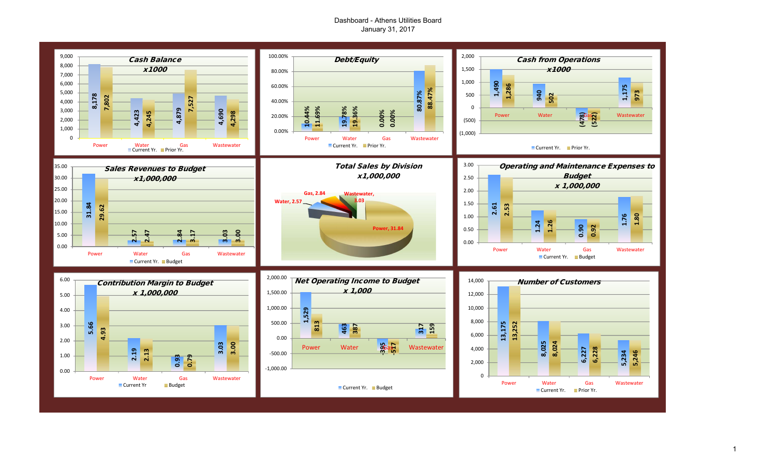## Dashboard - Athens Utilities Board January 31, 2017



1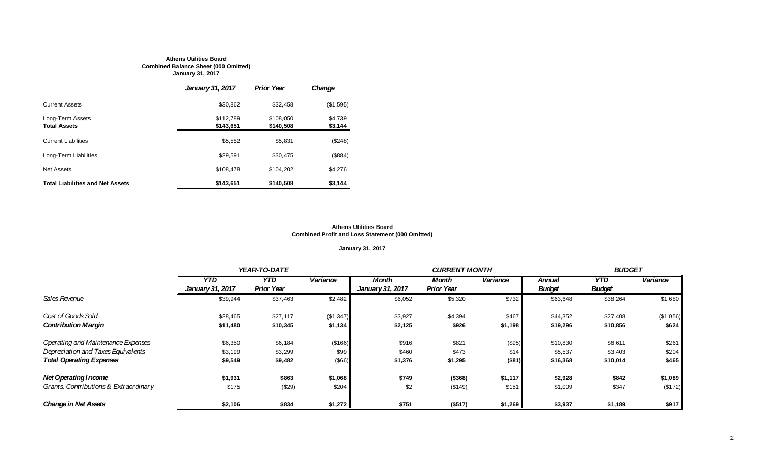#### **Athens Utilities Board Combined Balance Sheet (000 Omitted) January 31, 2017**

|                                         | <b>January 31, 2017</b> | <b>Prior Year</b>      | Change             |
|-----------------------------------------|-------------------------|------------------------|--------------------|
| <b>Current Assets</b>                   | \$30,862                | \$32.458               | (\$1,595)          |
| Long-Term Assets<br><b>Total Assets</b> | \$112,789<br>\$143.651  | \$108.050<br>\$140,508 | \$4.739<br>\$3,144 |
| <b>Current Liabilities</b>              | \$5.582                 | \$5.831                | (\$248)            |
| Long-Term Liabilities                   | \$29.591                | \$30,475               | (\$884)            |
| Net Assets                              | \$108.478               | \$104.202              | \$4,276            |
| <b>Total Liabilities and Net Assets</b> | \$143.651               | \$140,508              | \$3.144            |

#### **Athens Utilities Board Combined Profit and Loss Statement (000 Omitted)**

## **January 31, 2017**

|                                       |                         | YEAR-TO-DATE      |           |                  | <b>CURRENT MONTH</b> |          |               | <b>BUDGET</b> |           |  |
|---------------------------------------|-------------------------|-------------------|-----------|------------------|----------------------|----------|---------------|---------------|-----------|--|
|                                       | <b>YTD</b>              | <b>YTD</b>        | Variance  | Month            | Month                | Variance | Annual        | YTD.          | Variance  |  |
|                                       | <b>January 31, 2017</b> | <b>Prior Year</b> |           | January 31, 2017 | <b>Prior Year</b>    |          | <b>Budget</b> | <b>Budget</b> |           |  |
| Sales Revenue                         | \$39,944                | \$37,463          | \$2,482   | \$6,052          | \$5,320              | \$732    | \$63,648      | \$38,264      | \$1,680   |  |
| Cost of Goods Sold                    | \$28,465                | \$27,117          | (\$1,347) | \$3,927          | \$4,394              | \$467    | \$44,352      | \$27,408      | (\$1,056) |  |
| <b>Contribution Margin</b>            | \$11,480                | \$10,345          | \$1,134   | \$2,125          | \$926                | \$1,198  | \$19,296      | \$10,856      | \$624     |  |
| Operating and Maintenance Expenses    | \$6,350                 | \$6,184           | (\$166)   | \$916            | \$821                | (\$95)   | \$10,830      | \$6,611       | \$261     |  |
| Depreciation and Taxes Equivalents    | \$3,199                 | \$3,299           | \$99      | \$460            | \$473                | \$14     | \$5,537       | \$3,403       | \$204     |  |
| <b>Total Operating Expenses</b>       | \$9,549                 | \$9,482           | $($ \$66) | \$1,376          | \$1,295              | (\$81)   | \$16,368      | \$10,014      | \$465     |  |
| <b>Net Operating Income</b>           | \$1,931                 | \$863             | \$1,068   | \$749            | (\$368)              | \$1,117  | \$2,928       | \$842         | \$1,089   |  |
| Grants, Contributions & Extraordinary | \$175                   | (\$29)            | \$204     | \$2              | (\$149)              | \$151    | \$1,009       | \$347         | (\$172)   |  |
| <b>Change in Net Assets</b>           | \$2,106                 | \$834             | \$1,272   | \$751            | (\$517)              | \$1,269  | \$3,937       | \$1,189       | \$917     |  |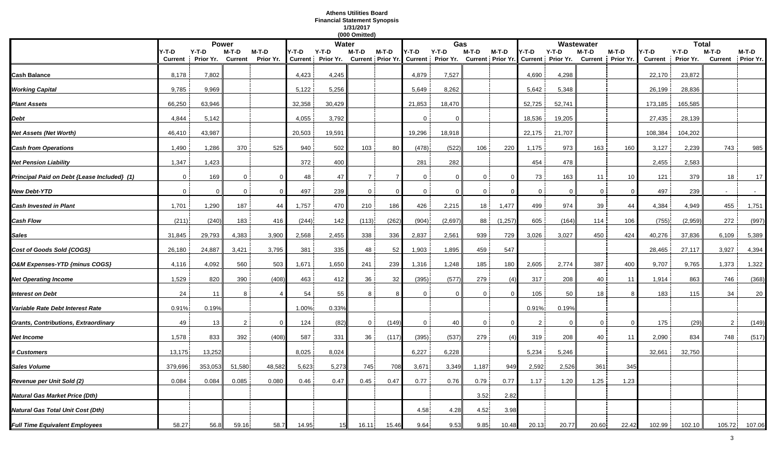## **Athens Utilities Board Financial Statement Synopsis 1/31/2017**

|                                             |                |           |                |                |        |                   | (000 Omitted)  |          |                |                                     |                |                          |                |                   |              |                   |                |           |                |           |
|---------------------------------------------|----------------|-----------|----------------|----------------|--------|-------------------|----------------|----------|----------------|-------------------------------------|----------------|--------------------------|----------------|-------------------|--------------|-------------------|----------------|-----------|----------------|-----------|
|                                             |                |           | <b>Power</b>   |                |        | Water             |                |          |                | Gas                                 |                |                          |                |                   | Wastewater   |                   |                | Total     |                |           |
|                                             | Y-T-D          | $Y-T-D$   | M-T-D          | M-T-D          | Y-T-D  | Y-T-D             | M-T-D          | $M-T-D$  | Y-T-D          | $Y-T-D$                             | M-T-D          | M-T-D                    | Y-T-D          | $Y-T-D$           | M-T-D        | $M-T-D$           | Y-T-D          | $Y-T-D$   | $M-T-D$        | M-T-D     |
|                                             | <b>Current</b> | Prior Yr. | <b>Current</b> | Prior Yr.      |        | Current Prior Yr. |                |          |                | Current Prior Yr. Current Prior Yr. |                | <b>Current Prior Yr.</b> |                | Current Prior Yr. |              | Current Prior Yr. | <b>Current</b> | Prior Yr. | <b>Current</b> | Prior Yr. |
| <b>Cash Balance</b>                         | 8,178          | 7,802     |                |                | 4,423  | 4,245             |                |          | 4,879          | 7,527                               |                |                          | 4,690          | 4,298             |              |                   | 22,170         | 23,872    |                |           |
|                                             | 9,785          |           |                |                | 5,122  |                   |                |          |                |                                     |                |                          |                |                   |              |                   | 26,199         | 28,836    |                |           |
| <b>Working Capital</b>                      |                | 9,969     |                |                |        | 5,256             |                |          | 5,649          | 8,262                               |                |                          | 5,642          | 5,348             |              |                   |                |           |                |           |
| <b>Plant Assets</b>                         | 66,250         | 63,946    |                |                | 32,358 | 30,429            |                |          | 21,853         | 18,470                              |                |                          | 52,725         | 52,741            |              |                   | 173,185        | 165,585   |                |           |
| Debt                                        | 4,844          | 5,142     |                |                | 4,055  | 3,792             |                |          | $\Omega$       | - 0                                 |                |                          | 18,536         | 19,205            |              |                   | 27,435         | 28,139    |                |           |
| Net Assets (Net Worth)                      | 46,410         | 43,987    |                |                | 20,503 | 19,591            |                |          | 19,296         | 18,918                              |                |                          | 22,175         | 21,707            |              |                   | 108,384        | 104,202   |                |           |
| <b>Cash from Operations</b>                 | 1,490          | 1,286     | 370            | 525            | 940    | 502               | 103            | 80       | (478)          | (522)                               | 106            | 220                      | 1,175          | 973               | 163          | 160               | 3,127          | 2,239     | 743            | 985       |
| Net Pension Liability                       | 1,347          | 1,423     |                |                | 372    | 400               |                |          | 281            | 282                                 |                |                          | 454            | 478               |              |                   | 2,455          | 2,583     |                |           |
| Principal Paid on Debt {Lease Included} (1) | $\Omega$       | 169       | $\Omega$       | $\Omega$       | 48     | 47                | $\overline{7}$ |          | $\Omega$       | $\Omega$                            | $\Omega$       |                          | 73             | 163               | 11           | 10 <sup>10</sup>  | 121            | 379       | 18             | 17        |
| <b>New Debt-YTD</b>                         | $\mathbf 0$    | $\Omega$  | $\mathbf 0$    | $\overline{0}$ | 497    | 239               | $\overline{0}$ | $\Omega$ | $\overline{0}$ | $\mathbf 0$                         | $\overline{0}$ |                          | $\overline{0}$ | $\mathbf 0$       | $\mathbf{0}$ | $\Omega$          | 497            | 239       |                |           |
| Cash Invested in Plant                      | 1,701          | 1,290     | 187            | 44             | 1,757  | 470               | 210            | 186      | 426            | 2,215                               | 18             | 1,477                    | 499            | 974               | 39           | 44                | 4,384          | 4,949     | 455            | 1,751     |
| Cash Flow                                   | (211)          | (240)     | 183            | 416            | (244)  | 142               | (113)          | (262)    | (904)          | (2,697)                             | 88             | (1,257)                  | 605            | (164)             | 114          | 106               | (755)          | (2,959)   | 272            | (997)     |
| <b>Sales</b>                                | 31,845         | 29,793    | 4,383          | 3,900          | 2,568  | 2,455             | 338            | 336      | 2,837          | 2,561                               | 939            | 729                      | 3,026          | 3,027             | 450          | 424               | 40,276         | 37,836    | 6,109          | 5,389     |
| Cost of Goods Sold {COGS}                   | 26,180         | 24,887    | 3,421          | 3,795          | 381    | 335               | 48             | 52       | 1,903          | 1,895                               | 459            | 547                      |                |                   |              |                   | 28,465         | 27,117    | 3,927          | 4,394     |
| O&M Expenses-YTD {minus COGS}               | 4,116          | 4,092     | 560            | 503            | 1,671  | 1,650             | 241            | 239      | 1,316          | 1,248                               | 185            | 180                      | 2,605          | 2,774             | 387          | 400               | 9,707          | 9,765     | 1,373          | 1,322     |
| <b>Net Operating Income</b>                 | 1,529          | 820       | 390            | (408)          | 463    | 412               | 36             | 32       | (395)          | (577)                               | 279            | (4)                      | 317            | 208               | 40           | 11                | 1,914          | 863       | 746            | (368)     |
| Interest on Debt                            | 24             | 11        | 8              |                | 54     | 55                | 8              |          | $\Omega$       | $\Omega$                            |                |                          | 105            | 50                | 18           | 8                 | 183            | 115       | 34             | 20        |
| Variable Rate Debt Interest Rate            | 0.91%          | 0.19%     |                |                | 1.00%  | 0.33%             |                |          |                |                                     |                |                          | 0.91%          | 0.19%             |              |                   |                |           |                |           |
| <b>Grants, Contributions, Extraordinary</b> | 49             | 13        | 2              | $\Omega$       | 124    | (82)              | $\overline{0}$ | (149)    | $\mathbf 0$    | 40                                  | $\mathbf{0}$   | $\Omega$                 | 2              | $\mathbf 0$       | $\mathbf 0$  | $\mathbf{0}$      | 175            | (29)      | $\overline{2}$ | (149)     |
| Net Income                                  | 1,578          | 833       | 392            | (408)          | 587    | 331               | 36             | (117)    | (395)          | (537)                               | 279            | (4)                      | 319            | 208               | 40           | 11                | 2,090          | 834       | 748            | (517)     |
| <b># Customers</b>                          | 13,175         | 13,252    |                |                | 8,025  | 8,024             |                |          | 6,227          | 6,228                               |                |                          | 5,234          | 5,246             |              |                   | 32,661         | 32,750    |                |           |
| <b>Sales Volume</b>                         | 379,696        | 353,053   | 51,580         | 48,582         | 5,623  | 5,273             | 745            | 708      | 3,671          | 3,349                               | 1,187          | 949                      | 2,592          | 2,526             | 361          | 345               |                |           |                |           |
| Revenue per Unit Sold (2)                   | 0.084          | 0.084     | 0.085          | 0.080          | 0.46   | 0.47              | 0.45           | 0.47     | 0.77           | 0.76                                | 0.79           | 0.77                     | 1.17           | 1.20              | 1.25         | 1.23              |                |           |                |           |
| Natural Gas Market Price (Dth)              |                |           |                |                |        |                   |                |          |                |                                     | 3.52           | 2.82                     |                |                   |              |                   |                |           |                |           |
| Natural Gas Total Unit Cost (Dth)           |                |           |                |                |        |                   |                |          | 4.58           | 4.28                                | 4.52           | 3.98                     |                |                   |              |                   |                |           |                |           |
| <b>Full Time Equivalent Employees</b>       | 58.27          | 56.8      | 59.16          | 58.7           | 14.95  | 15I               | 16.11          | 15.46    | 9.64           | 9.53                                | 9.85           | 10.48                    | 20.13          | 20.77             | 20.60        | 22.42             | 102.99         | 102.10    | 105.72         | 107.06    |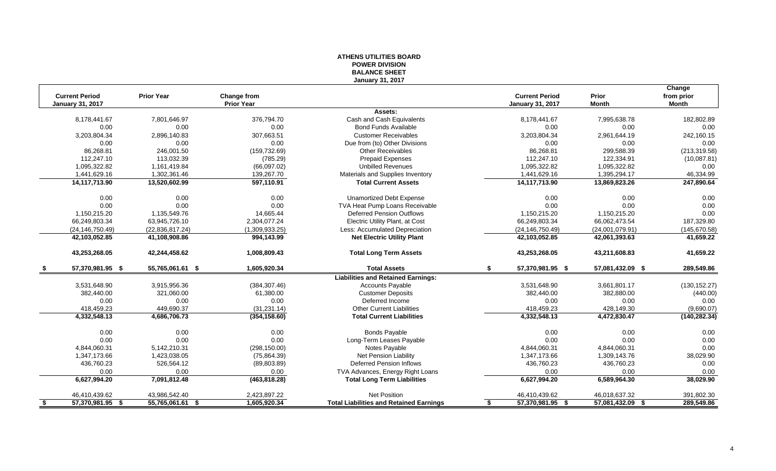## **ATHENS UTILITIES BOARD POWER DIVISION BALANCE SHEET January 31, 2017**

|      |                         |                   |                   |                                                |                         |                  | Change        |
|------|-------------------------|-------------------|-------------------|------------------------------------------------|-------------------------|------------------|---------------|
|      | <b>Current Period</b>   | <b>Prior Year</b> | Change from       |                                                | <b>Current Period</b>   | Prior            | from prior    |
|      | <b>January 31, 2017</b> |                   | <b>Prior Year</b> |                                                | <b>January 31, 2017</b> | <b>Month</b>     | Month         |
|      |                         |                   |                   | Assets:                                        |                         |                  |               |
|      | 8,178,441.67            | 7,801,646.97      | 376,794.70        | Cash and Cash Equivalents                      | 8,178,441.67            | 7,995,638.78     | 182,802.89    |
|      | 0.00                    | 0.00              | 0.00              | <b>Bond Funds Available</b>                    | 0.00                    | 0.00             | 0.00          |
|      | 3,203,804.34            | 2,896,140.83      | 307,663.51        | <b>Customer Receivables</b>                    | 3,203,804.34            | 2,961,644.19     | 242,160.15    |
|      | 0.00                    | 0.00              | 0.00              | Due from (to) Other Divisions                  | 0.00                    | 0.00             | 0.00          |
|      | 86,268.81               | 246,001.50        | (159, 732.69)     | <b>Other Receivables</b>                       | 86,268.81               | 299,588.39       | (213, 319.58) |
|      | 112,247.10              | 113,032.39        | (785.29)          | <b>Prepaid Expenses</b>                        | 112,247.10              | 122,334.91       | (10,087.81)   |
|      | 1,095,322.82            | 1,161,419.84      | (66,097.02)       | <b>Unbilled Revenues</b>                       | 1,095,322.82            | 1,095,322.82     | 0.00          |
|      | 1,441,629.16            | 1,302,361.46      | 139,267.70        | Materials and Supplies Inventory               | 1,441,629.16            | 1,395,294.17     | 46,334.99     |
|      | 14,117,713.90           | 13,520,602.99     | 597,110.91        | <b>Total Current Assets</b>                    | 14,117,713.90           | 13,869,823.26    | 247,890.64    |
|      | 0.00                    | 0.00              | 0.00              | <b>Unamortized Debt Expense</b>                | 0.00                    | 0.00             | 0.00          |
|      | 0.00                    | 0.00              | 0.00              | TVA Heat Pump Loans Receivable                 | 0.00                    | 0.00             | 0.00          |
|      | 1,150,215.20            | 1,135,549.76      | 14,665.44         | <b>Deferred Pension Outflows</b>               | 1,150,215.20            | 1,150,215.20     | 0.00          |
|      | 66,249,803.34           | 63,945,726.10     | 2,304,077.24      | Electric Utility Plant, at Cost                | 66,249,803.34           | 66,062,473.54    | 187,329.80    |
|      | (24, 146, 750.49)       | (22,836,817.24)   | (1,309,933.25)    | Less: Accumulated Depreciation                 | (24, 146, 750.49)       | (24,001,079.91)  | (145, 670.58) |
|      | 42,103,052.85           | 41,108,908.86     | 994,143.99        | <b>Net Electric Utility Plant</b>              | 42,103,052.85           | 42,061,393.63    | 41,659.22     |
|      | 43,253,268.05           | 42,244,458.62     | 1,008,809.43      | <b>Total Long Term Assets</b>                  | 43,253,268.05           | 43,211,608.83    | 41,659.22     |
| - 56 | 57,370,981.95 \$        | 55,765,061.61 \$  | 1,605,920.34      | <b>Total Assets</b>                            | \$<br>57,370,981.95 \$  | 57,081,432.09 \$ | 289,549.86    |
|      |                         |                   |                   | <b>Liabilities and Retained Earnings:</b>      |                         |                  |               |
|      | 3,531,648.90            | 3,915,956.36      | (384, 307.46)     | <b>Accounts Payable</b>                        | 3,531,648.90            | 3,661,801.17     | (130, 152.27) |
|      | 382,440.00              | 321,060.00        | 61,380.00         | <b>Customer Deposits</b>                       | 382,440.00              | 382,880.00       | (440.00)      |
|      | 0.00                    | 0.00              | 0.00              | Deferred Income                                | 0.00                    | 0.00             | 0.00          |
|      | 418,459.23              | 449,690.37        | (31, 231.14)      | <b>Other Current Liabilities</b>               | 418,459.23              | 428,149.30       | (9,690.07)    |
|      | 4,332,548.13            | 4,686,706.73      | (354, 158.60)     | <b>Total Current Liabilities</b>               | 4,332,548.13            | 4,472,830.47     | (140, 282.34) |
|      | 0.00                    | 0.00              | 0.00              | <b>Bonds Payable</b>                           | 0.00                    | 0.00             | 0.00          |
|      | 0.00                    | 0.00              | 0.00              | Long-Term Leases Payable                       | 0.00                    | 0.00             | 0.00          |
|      | 4,844,060.31            | 5,142,210.31      | (298, 150.00)     | Notes Payable                                  | 4,844,060.31            | 4,844,060.31     | 0.00          |
|      | 1,347,173.66            | 1,423,038.05      | (75, 864.39)      | <b>Net Pension Liability</b>                   | 1,347,173.66            | 1,309,143.76     | 38,029.90     |
|      | 436,760.23              | 526,564.12        | (89,803.89)       | Deferred Pension Inflows                       | 436,760.23              | 436,760.23       | 0.00          |
|      | 0.00                    | 0.00              | 0.00              | TVA Advances, Energy Right Loans               | 0.00                    | 0.00             | 0.00          |
|      | 6,627,994.20            | 7,091,812.48      | (463,818.28)      | <b>Total Long Term Liabilities</b>             | 6,627,994.20            | 6,589,964.30     | 38,029.90     |
|      | 46,410,439.62           | 43,986,542.40     | 2,423,897.22      | <b>Net Position</b>                            | 46,410,439.62           | 46,018,637.32    | 391,802.30    |
| - \$ | 57,370,981.95 \$        | 55,765,061.61 \$  | 1,605,920.34      | <b>Total Liabilities and Retained Earnings</b> | 57,370,981.95 \$<br>\$  | 57,081,432.09 \$ | 289,549.86    |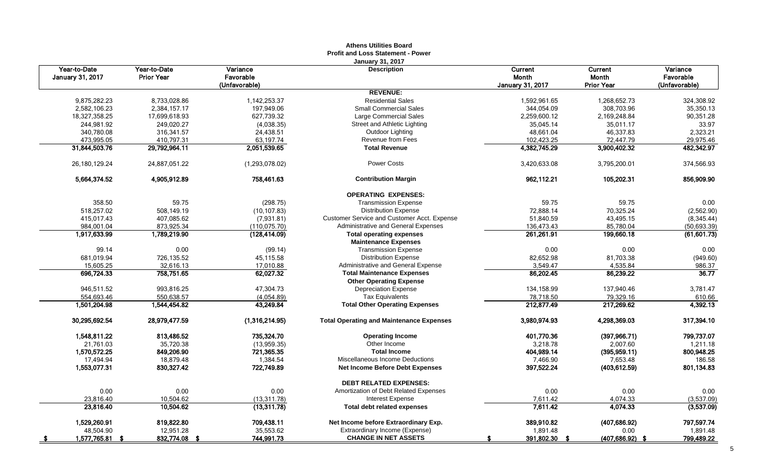|                                         |                            |                       | <b>Profit and Loss Statement - Power</b>                       |                         |                    |                       |
|-----------------------------------------|----------------------------|-----------------------|----------------------------------------------------------------|-------------------------|--------------------|-----------------------|
| Year-to-Date<br><b>January 31, 2017</b> | Year-to-Date<br>Prior Year | Variance<br>Favorable | <b>January 31, 2017</b><br><b>Description</b>                  | Current<br>Month        | Current<br>Month   | Variance<br>Favorable |
|                                         |                            | (Unfavorable)         |                                                                | <b>January 31, 2017</b> | <b>Prior Year</b>  | (Unfavorable)         |
|                                         |                            |                       | <b>REVENUE:</b>                                                |                         |                    |                       |
| 9,875,282.23                            | 8,733,028.86               | 1, 142, 253. 37       | <b>Residential Sales</b>                                       | 1,592,961.65            | 1,268,652.73       | 324,308.92            |
| 2,582,106.23                            | 2,384,157.17               | 197,949.06            | <b>Small Commercial Sales</b>                                  | 344,054.09              | 308,703.96         | 35,350.13             |
| 18,327,358.25                           | 17,699,618.93              | 627,739.32            | Large Commercial Sales                                         | 2,259,600.12            | 2,169,248.84       | 90,351.28             |
| 244,981.92                              | 249,020.27                 | (4,038.35)            | Street and Athletic Lighting                                   | 35,045.14               | 35,011.17          | 33.97                 |
| 340,780.08                              | 316, 341.57                | 24,438.51             | Outdoor Lighting                                               | 48,661.04               | 46,337.83          | 2,323.21              |
| 473,995.05                              | 410,797.31                 | 63,197.74             | Revenue from Fees                                              | 102,423.25              | 72,447.79          | 29,975.46             |
| 31,844,503.76                           | 29,792,964.11              | 2,051,539.65          | <b>Total Revenue</b>                                           | 4,382,745.29            | 3,900,402.32       | 482,342.97            |
| 26, 180, 129. 24                        | 24,887,051.22              | (1,293,078.02)        | <b>Power Costs</b>                                             | 3,420,633.08            | 3,795,200.01       | 374,566.93            |
| 5,664,374.52                            | 4,905,912.89               | 758,461.63            | <b>Contribution Margin</b>                                     | 962,112.21              | 105,202.31         | 856,909.90            |
|                                         |                            |                       | <b>OPERATING EXPENSES:</b>                                     |                         |                    |                       |
| 358.50                                  | 59.75                      | (298.75)              | <b>Transmission Expense</b>                                    | 59.75                   | 59.75              | 0.00                  |
| 518,257.02                              | 508,149.19                 | (10, 107.83)          | <b>Distribution Expense</b>                                    | 72,888.14               | 70,325.24          | (2,562.90)            |
| 415,017.43                              | 407,085.62                 | (7,931.81)            | Customer Service and Customer Acct. Expense                    | 51,840.59               | 43,495.15          | (8, 345.44)           |
| 984,001.04                              | 873,925.34                 | (110, 075.70)         | Administrative and General Expenses                            | 136,473.43              | 85,780.04          | (50, 693.39)          |
| 1,917,633.99                            | 1,789,219.90               | (128, 414.09)         | <b>Total operating expenses</b><br><b>Maintenance Expenses</b> | 261,261.91              | 199,660.18         | (61, 601.73)          |
| 99.14                                   | 0.00                       | (99.14)               | <b>Transmission Expense</b>                                    | 0.00                    | 0.00               | 0.00                  |
| 681,019.94                              | 726,135.52                 | 45,115.58             | <b>Distribution Expense</b>                                    | 82,652.98               | 81,703.38          | (949.60)              |
| 15,605.25                               | 32,616.13                  | 17,010.88             | Administrative and General Expense                             | 3,549.47                | 4,535.84           | 986.37                |
| 696,724.33                              | 758,751.65                 | 62,027.32             | <b>Total Maintenance Expenses</b>                              | 86.202.45               | 86.239.22          | 36.77                 |
|                                         |                            |                       | <b>Other Operating Expense</b>                                 |                         |                    |                       |
| 946,511.52                              | 993,816.25                 | 47,304.73             | <b>Depreciation Expense</b>                                    | 134, 158.99             | 137,940.46         | 3,781.47              |
| 554,693.46                              | 550,638.57                 | (4,054.89)            | <b>Tax Equivalents</b>                                         | 78,718.50               | 79,329.16          | 610.66                |
| 1,501,204.98                            | 1,544,454.82               | 43,249.84             | <b>Total Other Operating Expenses</b>                          | 212,877.49              | 217,269.62         | 4.392.13              |
| 30,295,692.54                           | 28,979,477.59              | (1,316,214.95)        | <b>Total Operating and Maintenance Expenses</b>                | 3,980,974.93            | 4,298,369.03       | 317,394.10            |
| 1,548,811.22                            | 813,486.52                 | 735,324.70            | <b>Operating Income</b>                                        | 401,770.36              | (397, 966.71)      | 799,737.07            |
| 21,761.03                               | 35,720.38                  | (13,959.35)           | Other Income                                                   | 3,218.78                | 2,007.60           | 1,211.18              |
| 1,570,572.25                            | 849,206.90                 | 721,365.35            | <b>Total Income</b>                                            | 404,989.14              | (395, 959.11)      | 800,948.25            |
| 17,494.94                               | 18,879.48                  | 1,384.54              | Miscellaneous Income Deductions                                | 7,466.90                | 7.653.48           | 186.58                |
| 1,553,077.31                            | 830,327.42                 | 722,749.89            | <b>Net Income Before Debt Expenses</b>                         | 397,522.24              | (403, 612.59)      | 801,134.83            |
|                                         |                            |                       | <b>DEBT RELATED EXPENSES:</b>                                  |                         |                    |                       |
| 0.00                                    | 0.00                       | 0.00                  | Amortization of Debt Related Expenses                          | 0.00                    | 0.00               | 0.00                  |
| 23,816.40                               | 10,504.62                  | (13, 311.78)          | <b>Interest Expense</b>                                        | 7,611.42                | 4,074.33           | (3,537.09)            |
| 23,816.40                               | 10,504.62                  | (13, 311.78)          | Total debt related expenses                                    | 7,611.42                | 4,074.33           | (3,537.09)            |
| 1,529,260.91                            | 819,822.80                 | 709,438.11            | Net Income before Extraordinary Exp.                           | 389,910.82              | (407, 686.92)      | 797,597.74            |
| 48,504.90                               | 12,951.28                  | 35,553.62             | Extraordinary Income (Expense)                                 | 1,891.48                | 0.00               | 1,891.48              |
| 1,577,765.81 \$<br>- 5                  | 832,774.08<br>-9           | 744,991.73            | <b>CHANGE IN NET ASSETS</b>                                    | 391,802.30<br>-9        | $(407, 686.92)$ \$ | 799,489.22            |

# **Athens Utilities Board**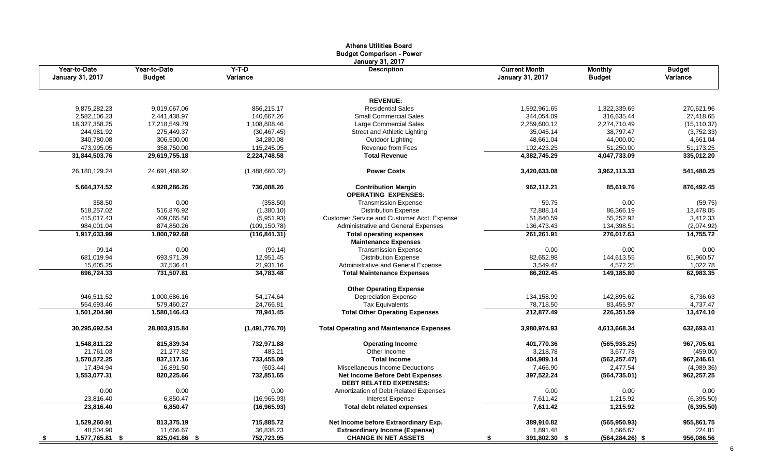|                                  |                               |                     | Athens Utilities Board<br><b>Budget Comparison - Power</b>       |                                                 |                                 |                           |
|----------------------------------|-------------------------------|---------------------|------------------------------------------------------------------|-------------------------------------------------|---------------------------------|---------------------------|
| Year-to-Date<br>January 31, 2017 | Year-to-Date<br><b>Budget</b> | $Y-T-D$<br>Variance | January 31, 2017<br><b>Description</b>                           | <b>Current Month</b><br><b>January 31, 2017</b> | <b>Monthly</b><br><b>Budget</b> | <b>Budget</b><br>Variance |
|                                  |                               |                     | <b>REVENUE:</b>                                                  |                                                 |                                 |                           |
| 9,875,282.23                     | 9,019,067.06                  | 856,215.17          | <b>Residential Sales</b>                                         | 1,592,961.65                                    | 1,322,339.69                    | 270,621.96                |
| 2,582,106.23                     | 2,441,438.97                  | 140,667.26          | <b>Small Commercial Sales</b>                                    | 344,054.09                                      | 316,635.44                      | 27,418.65                 |
| 18,327,358.25                    | 17,218,549.79                 | 1,108,808.46        | Large Commercial Sales                                           | 2,259,600.12                                    | 2,274,710.49                    | (15, 110.37)              |
| 244,981.92                       | 275,449.37                    | (30, 467.45)        | Street and Athletic Lighting                                     | 35,045.14                                       | 38,797.47                       | (3,752.33)                |
| 340,780.08                       | 306,500.00                    | 34,280.08           | Outdoor Lighting                                                 | 48,661.04                                       | 44,000.00                       | 4,661.04                  |
| 473,995.05                       | 358,750.00                    | 115,245.05          | Revenue from Fees                                                | 102,423.25                                      | 51,250.00                       | 51,173.25                 |
| 31,844,503.76                    | 29,619,755.18                 | 2,224,748.58        | <b>Total Revenue</b>                                             | 4,382,745.29                                    | 4,047,733.09                    | 335,012.20                |
| 26,180,129.24                    | 24,691,468.92                 | (1,488,660.32)      | <b>Power Costs</b>                                               | 3,420,633.08                                    | 3,962,113.33                    | 541,480.25                |
| 5,664,374.52                     | 4,928,286.26                  | 736,088.26          | <b>Contribution Margin</b><br><b>OPERATING EXPENSES:</b>         | 962,112.21                                      | 85,619.76                       | 876,492.45                |
| 358.50                           | 0.00                          | (358.50)            | <b>Transmission Expense</b>                                      | 59.75                                           | 0.00                            | (59.75)                   |
| 518,257.02                       | 516,876.92                    | (1,380.10)          | <b>Distribution Expense</b>                                      | 72,888.14                                       | 86,366.19                       | 13,478.05                 |
| 415,017.43                       | 409,065.50                    | (5,951.93)          | Customer Service and Customer Acct. Expense                      | 51,840.59                                       | 55,252.92                       | 3,412.33                  |
| 984,001.04                       | 874,850.26                    | (109, 150.78)       | Administrative and General Expenses                              | 136,473.43                                      | 134,398.51                      | (2,074.92)                |
| 1,917,633.99                     | 1,800,792.68                  | (116, 841.31)       | <b>Total operating expenses</b>                                  | 261,261.91                                      | 276,017.63                      | 14,755.72                 |
|                                  |                               |                     | <b>Maintenance Expenses</b>                                      |                                                 |                                 |                           |
| 99.14                            | 0.00                          | (99.14)             | <b>Transmission Expense</b>                                      | 0.00                                            | 0.00                            | 0.00                      |
| 681,019.94                       | 693,971.39                    | 12,951.45           | <b>Distribution Expense</b>                                      | 82,652.98                                       | 144,613.55                      | 61,960.57                 |
| 15,605.25                        | 37,536.41                     | 21,931.16           | Administrative and General Expense                               | 3,549.47                                        | 4,572.25                        | 1,022.78                  |
| 696,724.33                       | 731,507.81                    | 34,783.48           | <b>Total Maintenance Expenses</b>                                | 86,202.45                                       | 149,185.80                      | 62,983.35                 |
|                                  |                               |                     | <b>Other Operating Expense</b>                                   |                                                 |                                 |                           |
| 946,511.52                       | 1,000,686.16                  | 54,174.64           | <b>Depreciation Expense</b>                                      | 134,158.99                                      | 142,895.62                      | 8,736.63                  |
| 554,693.46                       | 579,460.27                    | 24,766.81           | <b>Tax Equivalents</b>                                           | 78,718.50                                       | 83,455.97                       | 4,737.47                  |
| 1,501,204.98                     | 1,580,146.43                  | 78,941.45           | <b>Total Other Operating Expenses</b>                            | 212,877.49                                      | 226,351.59                      | 13,474.10                 |
| 30,295,692.54                    | 28,803,915.84                 | (1,491,776.70)      | <b>Total Operating and Maintenance Expenses</b>                  | 3,980,974.93                                    | 4,613,668.34                    | 632,693.41                |
| 1,548,811.22                     | 815,839.34                    | 732,971.88          | <b>Operating Income</b>                                          | 401,770.36                                      | (565, 935.25)                   | 967,705.61                |
| 21,761.03                        | 21,277.82                     | 483.21              | Other Income                                                     | 3,218.78                                        | 3,677.78                        | (459.00)                  |
| 1,570,572.25                     | 837,117.16                    | 733,455.09          | <b>Total Income</b>                                              | 404,989.14                                      | (562, 257.47)                   | 967,246.61                |
| 17,494.94                        | 16,891.50                     | (603.44)            | Miscellaneous Income Deductions                                  | 7,466.90                                        | 2,477.54                        | (4,989.36)                |
| 1,553,077.31                     | 820,225.66                    | 732,851.65          | Net Income Before Debt Expenses<br><b>DEBT RELATED EXPENSES:</b> | 397,522.24                                      | (564, 735.01)                   | 962,257.25                |
| 0.00                             | 0.00                          | 0.00                | Amortization of Debt Related Expenses                            | 0.00                                            | 0.00                            | 0.00                      |
| 23,816.40                        | 6,850.47                      | (16,965.93)         | <b>Interest Expense</b>                                          | 7,611.42                                        | 1,215.92                        | (6, 395.50)               |
| 23,816.40                        | 6,850.47                      | (16, 965.93)        | <b>Total debt related expenses</b>                               | 7,611.42                                        | 1,215.92                        | (6, 395.50)               |
| 1,529,260.91                     | 813,375.19                    | 715,885.72          | Net Income before Extraordinary Exp.                             | 389,910.82                                      | (565, 950.93)                   | 955,861.75                |
| 48,504.90                        | 11,666.67                     | 36,838.23           | <b>Extraordinary Income (Expense)</b>                            | 1,891.48                                        | 1,666.67                        | 224.81                    |
| 1,577,765.81 \$<br><u>_\$</u>    | 825,041.86 \$                 | 752,723.95          | <b>CHANGE IN NET ASSETS</b>                                      | 391,802.30 \$<br>\$                             | $(564, 284.26)$ \$              | 956,086.56                |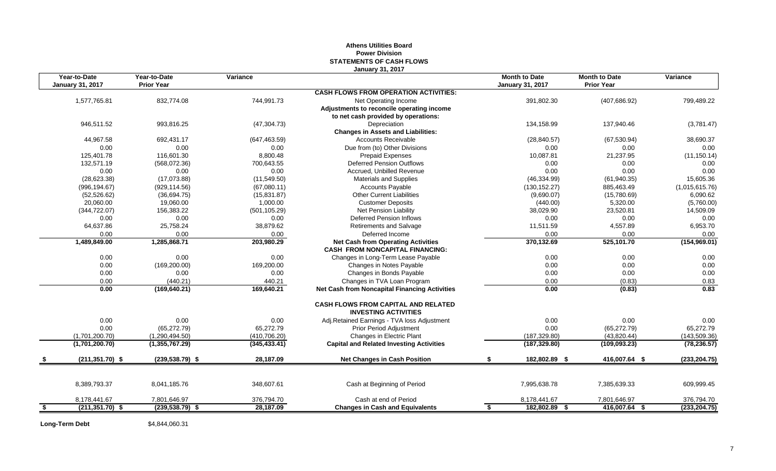## **Athens Utilities Board Power Division STATEMENTS OF CASH FLOWS January 31, 2017**

| Year-to-Date<br><b>January 31, 2017</b> | Year-to-Date<br><b>Prior Year</b> | Variance      |                                                                                     | <b>Month to Date</b><br><b>January 31, 2017</b> | <b>Month to Date</b><br><b>Prior Year</b> | Variance       |
|-----------------------------------------|-----------------------------------|---------------|-------------------------------------------------------------------------------------|-------------------------------------------------|-------------------------------------------|----------------|
|                                         |                                   |               | <b>CASH FLOWS FROM OPERATION ACTIVITIES:</b>                                        |                                                 |                                           |                |
| 1,577,765.81                            | 832,774.08                        | 744,991.73    | Net Operating Income                                                                | 391,802.30                                      | (407, 686.92)                             | 799,489.22     |
|                                         |                                   |               | Adjustments to reconcile operating income                                           |                                                 |                                           |                |
|                                         |                                   |               | to net cash provided by operations:                                                 |                                                 |                                           |                |
| 946,511.52                              | 993,816.25                        | (47, 304.73)  | Depreciation                                                                        | 134,158.99                                      | 137,940.46                                | (3,781.47)     |
|                                         |                                   |               | <b>Changes in Assets and Liabilities:</b>                                           |                                                 |                                           |                |
| 44,967.58                               | 692,431.17                        | (647, 463.59) | <b>Accounts Receivable</b>                                                          | (28, 840.57)                                    | (67, 530.94)                              | 38,690.37      |
| 0.00                                    | 0.00                              | 0.00          | Due from (to) Other Divisions                                                       | 0.00                                            | 0.00                                      | 0.00           |
| 125,401.78                              | 116,601.30                        | 8,800.48      | <b>Prepaid Expenses</b>                                                             | 10,087.81                                       | 21,237.95                                 | (11, 150.14)   |
| 132,571.19                              | (568,072.36)                      | 700,643.55    | <b>Deferred Pension Outflows</b>                                                    | 0.00                                            | 0.00                                      | 0.00           |
| 0.00                                    | 0.00                              | 0.00          | Accrued, Unbilled Revenue                                                           | 0.00                                            | 0.00                                      | 0.00           |
| (28, 623.38)                            | (17,073.88)                       | (11,549.50)   | <b>Materials and Supplies</b>                                                       | (46, 334.99)                                    | (61, 940.35)                              | 15,605.36      |
| (996, 194.67)                           | (929, 114.56)                     | (67,080.11)   | <b>Accounts Payable</b>                                                             | (130, 152.27)                                   | 885,463.49                                | (1,015,615.76) |
| (52, 526.62)                            | (36,694.75)                       | (15,831.87)   | <b>Other Current Liabilities</b>                                                    | (9,690.07)                                      | (15,780.69)                               | 6,090.62       |
| 20,060.00                               | 19,060.00                         | 1,000.00      | <b>Customer Deposits</b>                                                            | (440.00)                                        | 5,320.00                                  | (5,760.00)     |
| (344, 722.07)                           | 156,383.22                        | (501, 105.29) | Net Pension Liability                                                               | 38,029.90                                       | 23,520.81                                 | 14,509.09      |
| 0.00                                    | 0.00                              | 0.00          | <b>Deferred Pension Inflows</b>                                                     | 0.00                                            | 0.00                                      | 0.00           |
| 64,637.86                               | 25,758.24                         | 38,879.62     | <b>Retirements and Salvage</b>                                                      | 11,511.59                                       | 4,557.89                                  | 6,953.70       |
| 0.00                                    | 0.00                              | 0.00          | Deferred Income                                                                     | 0.00                                            | 0.00                                      | 0.00           |
| 1,489,849.00                            | 1,285,868.71                      | 203,980.29    | <b>Net Cash from Operating Activities</b><br><b>CASH FROM NONCAPITAL FINANCING:</b> | 370,132.69                                      | 525,101.70                                | (154, 969.01)  |
| 0.00                                    | 0.00                              | 0.00          | Changes in Long-Term Lease Payable                                                  | 0.00                                            | 0.00                                      | 0.00           |
| 0.00                                    | (169, 200.00)                     | 169,200.00    | Changes in Notes Payable                                                            | 0.00                                            | 0.00                                      | 0.00           |
| 0.00                                    | 0.00                              | 0.00          | Changes in Bonds Payable                                                            | 0.00                                            | 0.00                                      | 0.00           |
| 0.00                                    | (440.21)                          | 440.21        | Changes in TVA Loan Program                                                         | 0.00                                            | (0.83)                                    | 0.83           |
| 0.00                                    | (169, 640.21)                     | 169,640.21    | <b>Net Cash from Noncapital Financing Activities</b>                                | 0.00                                            | (0.83)                                    | 0.83           |
|                                         |                                   |               | <b>CASH FLOWS FROM CAPITAL AND RELATED</b><br><b>INVESTING ACTIVITIES</b>           |                                                 |                                           |                |
| 0.00                                    | 0.00                              | 0.00          | Adj.Retained Earnings - TVA loss Adjustment                                         | 0.00                                            | 0.00                                      | 0.00           |
| 0.00                                    | (65, 272.79)                      | 65,272.79     | <b>Prior Period Adjustment</b>                                                      | 0.00                                            | (65, 272.79)                              | 65,272.79      |
| (1,701,200.70)                          | (1,290,494.50)                    | (410, 706.20) | Changes in Electric Plant                                                           | (187, 329.80)                                   | (43,820.44)                               | (143, 509.36)  |
| (1,701,200.70)                          | (1,355,767.29)                    | (345, 433.41) | <b>Capital and Related Investing Activities</b>                                     | (187, 329.80)                                   | (109, 093.23)                             | (78, 236.57)   |
| $(211, 351.70)$ \$                      | $(239.538.79)$ \$                 | 28,187.09     | <b>Net Changes in Cash Position</b>                                                 | 182,802.89 \$                                   | 416,007.64 \$                             | (233, 204.75)  |
|                                         |                                   |               |                                                                                     |                                                 |                                           |                |
| 8,389,793.37                            | 8,041,185.76                      | 348,607.61    | Cash at Beginning of Period                                                         | 7,995,638.78                                    | 7,385,639.33                              | 609,999.45     |
| 8,178,441.67                            | 7,801,646.97                      | 376,794.70    | Cash at end of Period                                                               | 8,178,441.67                                    | 7,801,646.97                              | 376,794.70     |
| \$<br>$(211, 351.70)$ \$                | $(239, 538.79)$ \$                | 28,187.09     | <b>Changes in Cash and Equivalents</b>                                              | 182,802.89 \$<br>\$                             | 416,007.64 \$                             | (233, 204.75)  |

**Long-Term Debt** \$4,844,060.31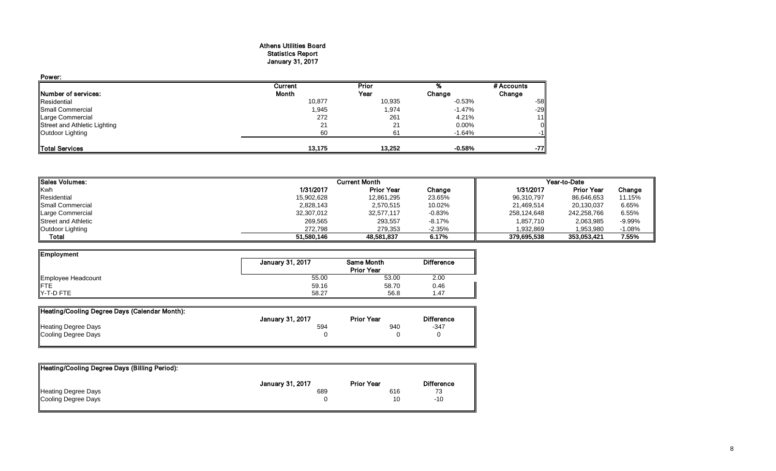#### Athens Utilities Board Statistics Report January 31, 2017

| Power:                       |         |        |          |                |
|------------------------------|---------|--------|----------|----------------|
|                              | Current | Prior  |          | # Accounts     |
| Number of services:          | Month   | Year   | Change   | Change         |
| Residential                  | 10,877  | 10,935 | -0.53%   | $-58$          |
| Small Commercial             | 1,945   | 1,974  | $-1.47%$ | $-29$          |
| Large Commercial             | 272     | 261    | 4.21%    | 11             |
| Street and Athletic Lighting | 21      | 21     | $0.00\%$ | $\overline{0}$ |
| Outdoor Lighting             | 60      | 61     | $-1.64%$ | -11            |
| <b>Total Services</b>        | 13.175  | 13,252 | $-0.58%$ | -77            |

| <b>ISales Volumes:</b>     |            | <b>Current Month</b> |          | Year-to-Date |                   |          |  |
|----------------------------|------------|----------------------|----------|--------------|-------------------|----------|--|
| Kwh                        | 1/31/2017  | <b>Prior Year</b>    | Change   | 1/31/2017    | <b>Prior Year</b> | Change   |  |
| Residential                | 15,902,628 | 12,861,295           | 23.65%   | 96,310,797   | 86,646,653        | 11.15%   |  |
| <b>I</b> Small Commercial  | 2,828,143  | 2,570,515            | 10.02%   | 21,469,514   | 20,130,037        | 6.65%    |  |
| Large Commercial           | 32,307,012 | 32.577.117           | $-0.83%$ | 258.124.648  | 242,258,766       | 6.55%    |  |
| <b>Street and Athletic</b> | 269,565    | 293,557              | $-8.17%$ | 1,857,710    | 2,063,985         | $-9.99%$ |  |
| Outdoor Lighting           | 272.798    | 279,353              | $-2.35%$ | 1.932.869    | 1,953,980         | $-1.08%$ |  |
| <b>Total</b>               | 51.580.146 | 48,581,837           | 6.17%    | 379,695,538  | 353,053,421       | 7.55%    |  |

| Employment         |                  |                   |                   |
|--------------------|------------------|-------------------|-------------------|
|                    | January 31, 2017 | <b>Same Month</b> | <b>Difference</b> |
|                    |                  | <b>Prior Year</b> |                   |
| Employee Headcount | 55.00            | 53.00             | 2.00              |
| <b>IFTE</b>        | 59.16            | 58.70             | 0.46              |
| Y-T-D FTE          | 58.27            | 56.8              | 1.47              |

| Heating/Cooling Degree Days (Calendar Month): |                         |                   |                   |
|-----------------------------------------------|-------------------------|-------------------|-------------------|
|                                               | <b>January 31, 2017</b> | <b>Prior Year</b> | <b>Difference</b> |
| Heating Degree Days                           | 594                     | 940               | $-347$            |
| Cooling Degree Days                           |                         |                   |                   |
|                                               |                         |                   |                   |

| Heating/Cooling Degree Days (Billing Period): |                         |                   |                   |
|-----------------------------------------------|-------------------------|-------------------|-------------------|
|                                               | <b>January 31, 2017</b> | <b>Prior Year</b> | <b>Difference</b> |
| <b>Heating Degree Days</b>                    | 689                     | 616               | 73                |
| Cooling Degree Days                           |                         | 10                | -10               |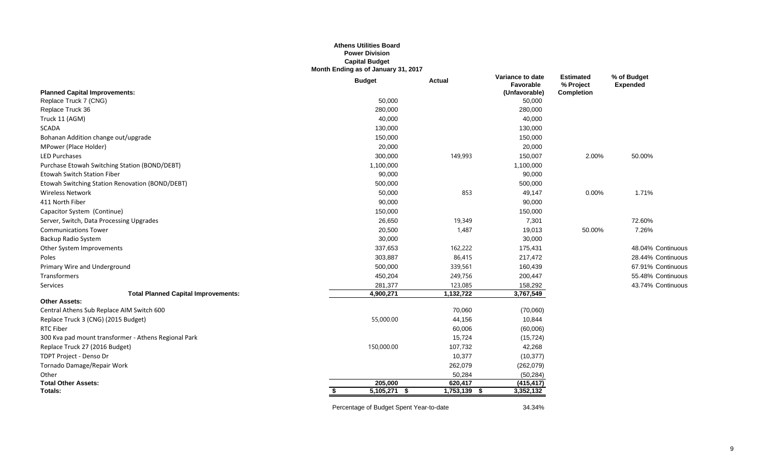## **Athens Utilities Board Power Division Capital Budget Month Ending as of January 31, 2017**

|                                                      | <b>Budget</b>  | <b>Actual</b>   | Variance to date<br>Favorable | <b>Estimated</b><br>% Project | % of Budget<br><b>Expended</b> |
|------------------------------------------------------|----------------|-----------------|-------------------------------|-------------------------------|--------------------------------|
| <b>Planned Capital Improvements:</b>                 |                |                 | (Unfavorable)                 | <b>Completion</b>             |                                |
| Replace Truck 7 (CNG)                                | 50,000         |                 | 50,000                        |                               |                                |
| Replace Truck 36                                     | 280,000        |                 | 280,000                       |                               |                                |
| Truck 11 (AGM)                                       | 40,000         |                 | 40,000                        |                               |                                |
| <b>SCADA</b>                                         | 130,000        |                 | 130,000                       |                               |                                |
| Bohanan Addition change out/upgrade                  | 150,000        |                 | 150,000                       |                               |                                |
| MPower (Place Holder)                                | 20,000         |                 | 20,000                        |                               |                                |
| <b>LED Purchases</b>                                 | 300,000        | 149,993         | 150,007                       | 2.00%                         | 50.00%                         |
| Purchase Etowah Switching Station (BOND/DEBT)        | 1,100,000      |                 | 1,100,000                     |                               |                                |
| <b>Etowah Switch Station Fiber</b>                   | 90,000         |                 | 90,000                        |                               |                                |
| Etowah Switching Station Renovation (BOND/DEBT)      | 500,000        |                 | 500,000                       |                               |                                |
| <b>Wireless Network</b>                              | 50,000         | 853             | 49,147                        | 0.00%                         | 1.71%                          |
| 411 North Fiber                                      | 90,000         |                 | 90,000                        |                               |                                |
| Capacitor System (Continue)                          | 150,000        |                 | 150,000                       |                               |                                |
| Server, Switch, Data Processing Upgrades             | 26,650         | 19,349          | 7,301                         |                               | 72.60%                         |
| <b>Communications Tower</b>                          | 20,500         | 1,487           | 19,013                        | 50.00%                        | 7.26%                          |
| Backup Radio System                                  | 30,000         |                 | 30,000                        |                               |                                |
| Other System Improvements                            | 337,653        | 162,222         | 175,431                       |                               | 48.04% Continuous              |
| Poles                                                | 303,887        | 86,415          | 217,472                       |                               | 28.44% Continuous              |
| Primary Wire and Underground                         | 500,000        | 339,561         | 160,439                       |                               | 67.91% Continuous              |
| Transformers                                         | 450,204        | 249,756         | 200,447                       |                               | 55.48% Continuous              |
| Services                                             | 281,377        | 123,085         | 158,292                       |                               | 43.74% Continuous              |
| <b>Total Planned Capital Improvements:</b>           | 4,900,271      | 1,132,722       | 3,767,549                     |                               |                                |
| <b>Other Assets:</b>                                 |                |                 |                               |                               |                                |
| Central Athens Sub Replace AIM Switch 600            |                | 70,060          | (70,060)                      |                               |                                |
| Replace Truck 3 (CNG) (2015 Budget)                  | 55,000.00      | 44,156          | 10,844                        |                               |                                |
| <b>RTC Fiber</b>                                     |                | 60,006          | (60,006)                      |                               |                                |
| 300 Kva pad mount transformer - Athens Regional Park |                | 15,724          | (15, 724)                     |                               |                                |
| Replace Truck 27 (2016 Budget)                       | 150,000.00     | 107,732         | 42,268                        |                               |                                |
| TDPT Project - Denso Dr                              |                | 10,377          | (10, 377)                     |                               |                                |
| Tornado Damage/Repair Work                           |                | 262,079         | (262, 079)                    |                               |                                |
| Other                                                |                | 50,284          | (50, 284)                     |                               |                                |
| <b>Total Other Assets:</b>                           | 205,000        | 620,417         | (415, 417)                    |                               |                                |
| <b>Totals:</b>                                       | $5,105,271$ \$ | 1,753,139<br>-5 | 3,352,132                     |                               |                                |

Percentage of Budget Spent Year-to-date 34.34%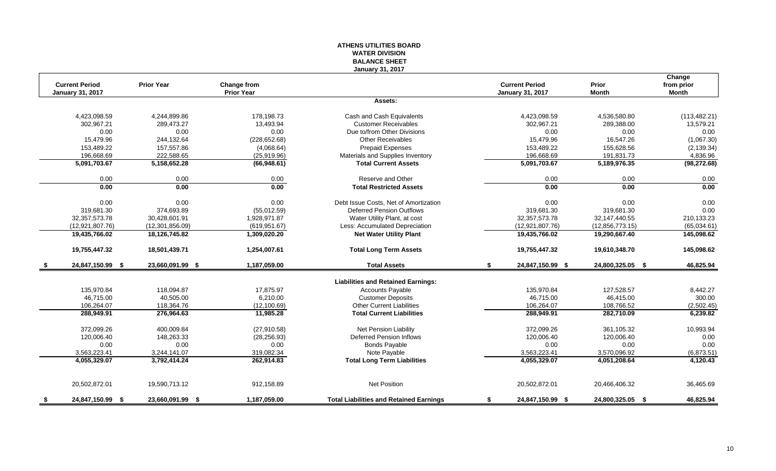## **ATHENS UTILITIES BOARD WATER DIVISION BALANCE SHEET January 31, 2017**

|      | <b>Current Period</b>   | <b>Prior Year</b> | Change from       |                                                | <b>Current Period</b>   | Prior            | Change<br>from prior |
|------|-------------------------|-------------------|-------------------|------------------------------------------------|-------------------------|------------------|----------------------|
|      | <b>January 31, 2017</b> |                   | <b>Prior Year</b> |                                                | <b>January 31, 2017</b> | <b>Month</b>     | <b>Month</b>         |
|      |                         |                   |                   | Assets:                                        |                         |                  |                      |
|      | 4,423,098.59            | 4,244,899.86      | 178,198.73        | Cash and Cash Equivalents                      | 4,423,098.59            | 4,536,580.80     | (113, 482.21)        |
|      | 302,967.21              | 289,473.27        | 13,493.94         | <b>Customer Receivables</b>                    | 302,967.21              | 289,388.00       | 13,579.21            |
|      | 0.00                    | 0.00              | 0.00              | Due to/from Other Divisions                    | 0.00                    | 0.00             | 0.00                 |
|      | 15,479.96               | 244,132.64        | (228, 652.68)     | <b>Other Receivables</b>                       | 15,479.96               | 16,547.26        | (1,067.30)           |
|      | 153,489.22              | 157,557.86        | (4,068.64)        | <b>Prepaid Expenses</b>                        | 153,489.22              | 155,628.56       | (2, 139.34)          |
|      | 196,668.69              | 222.588.65        | (25,919.96)       | Materials and Supplies Inventory               | 196,668.69              | 191,831.73       | 4,836.96             |
|      | 5,091,703.67            | 5,158,652.28      | (66,948.61)       | <b>Total Current Assets</b>                    | 5,091,703.67            | 5,189,976.35     | (98, 272.68)         |
|      | 0.00                    | 0.00              | 0.00              | Reserve and Other                              | 0.00                    | 0.00             | 0.00                 |
|      | 0.00                    | 0.00              | 0.00              | <b>Total Restricted Assets</b>                 | 0.00                    | 0.00             | 0.00                 |
|      | 0.00                    | 0.00              | 0.00              | Debt Issue Costs, Net of Amortization          | 0.00                    | 0.00             | 0.00                 |
|      | 319,681.30              | 374,693.89        | (55,012.59)       | <b>Deferred Pension Outflows</b>               | 319,681.30              | 319,681.30       | 0.00                 |
|      | 32, 357, 573. 78        | 30,428,601.91     | 1,928,971.87      | Water Utility Plant, at cost                   | 32, 357, 573. 78        | 32,147,440.55    | 210,133.23           |
|      | (12,921,807.76)         | (12, 301, 856.09) | (619.951.67)      | Less: Accumulated Depreciation                 | (12,921,807.76)         | (12,856,773.15)  | (65,034.61)          |
|      | 19,435,766.02           | 18,126,745.82     | 1,309,020.20      | <b>Net Water Utility Plant</b>                 | 19,435,766.02           | 19,290,667.40    | 145,098.62           |
|      | 19,755,447.32           | 18,501,439.71     | 1,254,007.61      | <b>Total Long Term Assets</b>                  | 19,755,447.32           | 19,610,348.70    | 145,098.62           |
| - \$ | 24,847,150.99 \$        | 23,660,091.99 \$  | 1,187,059.00      | <b>Total Assets</b>                            | \$<br>24,847,150.99 \$  | 24,800,325.05 \$ | 46,825.94            |
|      |                         |                   |                   | <b>Liabilities and Retained Earnings:</b>      |                         |                  |                      |
|      | 135,970.84              | 118.094.87        | 17.875.97         | <b>Accounts Payable</b>                        | 135.970.84              | 127.528.57       | 8,442.27             |
|      | 46,715.00               | 40,505.00         | 6.210.00          | <b>Customer Deposits</b>                       | 46.715.00               | 46,415.00        | 300.00               |
|      | 106,264.07              | 118,364.76        | (12, 100.69)      | <b>Other Current Liabilities</b>               | 106,264.07              | 108,766.52       | (2,502.45)           |
|      | 288,949.91              | 276,964.63        | 11,985.28         | <b>Total Current Liabilities</b>               | 288,949.91              | 282,710.09       | 6,239.82             |
|      | 372,099.26              | 400,009.84        | (27, 910.58)      | Net Pension Liability                          | 372,099.26              | 361,105.32       | 10,993.94            |
|      | 120,006.40              | 148,263.33        | (28, 256.93)      | <b>Deferred Pension Inflows</b>                | 120,006.40              | 120,006.40       | 0.00                 |
|      | 0.00                    | 0.00              | 0.00              | <b>Bonds Payable</b>                           | 0.00                    | 0.00             | 0.00                 |
|      | 3,563,223.41            | 3,244,141.07      | 319,082.34        | Note Payable                                   | 3,563,223.41            | 3,570,096.92     | (6,873.51)           |
|      | 4,055,329.07            | 3,792,414.24      | 262,914.83        | <b>Total Long Term Liabilities</b>             | 4,055,329.07            | 4,051,208.64     | 4,120.43             |
|      | 20,502,872.01           | 19,590,713.12     | 912,158.89        | <b>Net Position</b>                            | 20,502,872.01           | 20,466,406.32    | 36,465.69            |
| - 5  | 24,847,150.99 \$        | 23,660,091.99 \$  | 1,187,059.00      | <b>Total Liabilities and Retained Earnings</b> | 24,847,150.99 \$<br>\$  | 24,800,325.05 \$ | 46,825.94            |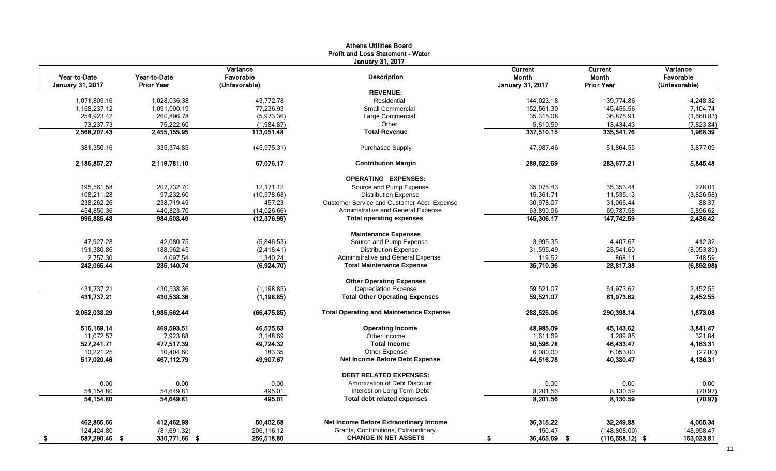|                                  |                                   |                                        | <b>Profit and Loss Statement - Water</b><br><b>January 31, 2017</b> |                                             |                                              |                                        |
|----------------------------------|-----------------------------------|----------------------------------------|---------------------------------------------------------------------|---------------------------------------------|----------------------------------------------|----------------------------------------|
| Year-to-Date<br>January 31, 2017 | Year-to-Date<br><b>Prior Year</b> | Variance<br>Favorable<br>(Unfavorable) | <b>Description</b>                                                  | Current<br><b>Month</b><br>January 31, 2017 | Current<br><b>Month</b><br><b>Prior Year</b> | Variance<br>Favorable<br>(Unfavorable) |
|                                  |                                   |                                        | <b>REVENUE:</b>                                                     |                                             |                                              |                                        |
| 1,071,809.16                     | 1.028.036.38                      | 43.772.78                              | Residential                                                         | 144,023.18                                  | 139.774.86                                   | 4,248.32                               |
| 1,168,237.12                     | 1,091,000.19                      | 77,236.93                              | Small Commercial                                                    | 152,561.30                                  | 145,456.56                                   | 7,104.74                               |
| 254,923.42                       | 260,896.78                        | (5,973.36)                             | Large Commercial                                                    | 35,315.08                                   | 36,875.91                                    | (1,560.83)                             |
| 73,237.73                        | 75,222.60                         | (1,984.87)                             | Other                                                               | 5,610.59                                    | 13,434.43                                    | (7,823.84)                             |
| 2,568,207.43                     | 2,455,155.95                      | 113,051.48                             | <b>Total Revenue</b>                                                | 337,510.15                                  | 335,541.76                                   | 1,968.39                               |
| 381,350.16                       | 335,374.85                        | (45, 975.31)                           | <b>Purchased Supply</b>                                             | 47,987.46                                   | 51,864.55                                    | 3,877.09                               |
| 2,186,857.27                     | 2,119,781.10                      | 67,076.17                              | <b>Contribution Margin</b>                                          | 289,522.69                                  | 283,677.21                                   | 5,845.48                               |
|                                  |                                   |                                        | <b>OPERATING EXPENSES:</b>                                          |                                             |                                              |                                        |
| 195,561.58                       | 207.732.70                        | 12.171.12                              | Source and Pump Expense                                             | 35.075.43                                   | 35,353.44                                    | 278.01                                 |
| 108,211.28                       | 97,232.60                         | (10, 978.68)                           | <b>Distribution Expense</b>                                         | 15,361.71                                   | 11,535.13                                    | (3,826.58)                             |
| 238,262.26                       | 238,719.49                        | 457.23                                 | Customer Service and Customer Acct. Expense                         | 30,978.07                                   | 31,066.44                                    | 88.37                                  |
| 454,850.36                       | 440,823.70                        | (14,026.66)                            | Administrative and General Expense                                  | 63,890.96                                   | 69,787.58                                    | 5,896.62                               |
| 996,885.48                       | 984,508.49                        | (12, 376.99)                           | <b>Total operating expenses</b>                                     | 145,306.17                                  | 147,742.59                                   | 2,436.42                               |
|                                  |                                   |                                        | <b>Maintenance Expenses</b>                                         |                                             |                                              |                                        |
| 47,927.28                        | 42,080.75                         | (5,846.53)                             | Source and Pump Expense                                             | 3,995.35                                    | 4,407.67                                     | 412.32                                 |
| 191,380.86                       | 188,962.45                        | (2,418.41)                             | <b>Distribution Expense</b>                                         | 31,595.49                                   | 23,541.60                                    | (8,053.89)                             |
| 2,757.30                         | 4,097.54                          | 1,340.24                               | Administrative and General Expense                                  | 119.52                                      | 868.11                                       | 748.59                                 |
| 242,065.44                       | 235, 140.74                       | (6,924.70)                             | <b>Total Maintenance Expense</b>                                    | 35,710.36                                   | 28,817.38                                    | (6,892.98)                             |
|                                  |                                   |                                        | <b>Other Operating Expenses</b>                                     |                                             |                                              |                                        |
| 431,737.21                       | 430,538.36                        | (1, 198.85)                            | <b>Depreciation Expense</b>                                         | 59,521.07                                   | 61,973.62                                    | 2,452.55                               |
| 431,737.21                       | 430,538.36                        | (1, 198.85)                            | <b>Total Other Operating Expenses</b>                               | 59,521.07                                   | 61,973.62                                    | 2,452.55                               |
| 2,052,038.29                     | 1,985,562.44                      | (66, 475.85)                           | <b>Total Operating and Maintenance Expense</b>                      | 288,525.06                                  | 290,398.14                                   | 1,873.08                               |
| 516,169.14                       | 469,593.51                        | 46,575.63                              | <b>Operating Income</b>                                             | 48,985.09                                   | 45,143.62                                    | 3,841.47                               |
| 11,072.57                        | 7,923.88                          | 3,148.69                               | Other Income                                                        | 1,611.69                                    | 1,289.85                                     | 321.84                                 |
| 527,241.71                       | 477.517.39                        | 49,724.32                              | <b>Total Income</b>                                                 | 50,596.78                                   | 46,433.47                                    | 4,163.31                               |
| 10,221.25                        | 10,404.60                         | 183.35                                 | Other Expense                                                       | 6,080.00                                    | 6,053.00                                     | (27.00)                                |
| 517,020.46                       | 467,112.79                        | 49,907.67                              | Net Income Before Debt Expense                                      | 44,516.78                                   | 40,380.47                                    | 4,136.31                               |
|                                  |                                   |                                        | <b>DEBT RELATED EXPENSES:</b>                                       |                                             |                                              |                                        |
| 0.00                             | 0.00                              | 0.00                                   | Amortization of Debt Discount                                       | 0.00                                        | 0.00                                         | 0.00                                   |
| 54,154.80                        | 54,649.81                         | 495.01                                 | Interest on Long Term Debt                                          | 8,201.56                                    | 8,130.59                                     | (70.97)                                |
| 54,154.80                        | 54,649.81                         | 495.01                                 | <b>Total debt related expenses</b>                                  | 8,201.56                                    | 8,130.59                                     | (70.97)                                |
| 462,865.66                       | 412,462.98                        | 50,402.68                              | Net Income Before Extraordinary Income                              | 36,315.22                                   | 32,249.88                                    | 4,065.34                               |
| 124,424.80                       | (81, 691.32)                      | 206,116.12                             | Grants, Contributions, Extraordinary                                | 150.47                                      | (148, 808.00)                                | 148,958.47                             |
| 587,290.46<br>- \$               | 330,771.66 \$                     | 256,518.80                             | <b>CHANGE IN NET ASSETS</b>                                         | 36,465.69<br>-S                             | $(116, 558.12)$ \$                           | 153,023.81                             |

# Athens Utilities Board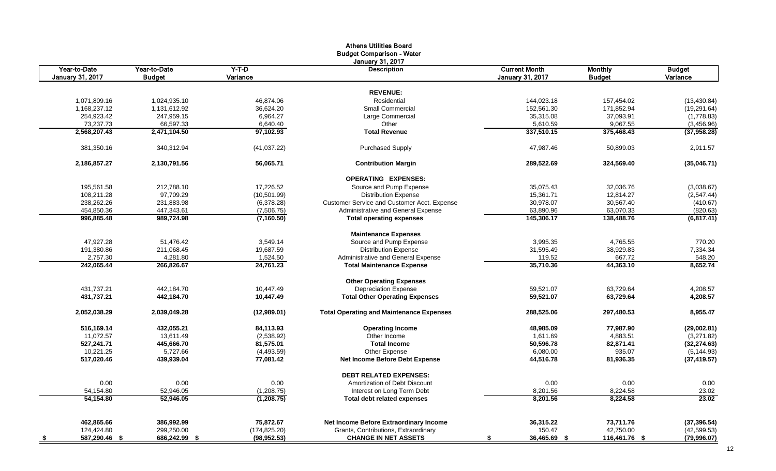|                                  |                               |                       | <b>Athens Utilities Board</b><br><b>Budget Comparison - Water</b> |                                                 |                                 |                            |
|----------------------------------|-------------------------------|-----------------------|-------------------------------------------------------------------|-------------------------------------------------|---------------------------------|----------------------------|
|                                  |                               |                       | January 31, 2017                                                  |                                                 |                                 |                            |
| Year-to-Date<br>January 31, 2017 | Year-to-Date<br><b>Budget</b> | $Y-T-D$<br>Variance   | <b>Description</b>                                                | <b>Current Month</b><br><b>January 31, 2017</b> | <b>Monthly</b><br><b>Budget</b> | <b>Budget</b><br>Variance  |
|                                  |                               |                       |                                                                   |                                                 |                                 |                            |
|                                  |                               |                       | <b>REVENUE:</b><br>Residential                                    |                                                 |                                 |                            |
| 1,071,809.16                     | 1,024,935.10                  | 46,874.06             | <b>Small Commercial</b>                                           | 144,023.18                                      | 157,454.02                      | (13, 430.84)               |
| 1,168,237.12<br>254,923.42       | 1,131,612.92                  | 36,624.20<br>6,964.27 |                                                                   | 152,561.30                                      | 171,852.94<br>37,093.91         | (19, 291.64)               |
|                                  | 247,959.15                    |                       | Large Commercial<br>Other                                         | 35,315.08                                       |                                 | (1,778.83)                 |
| 73,237.73<br>2,568,207.43        | 66,597.33<br>2,471,104.50     | 6,640.40<br>97.102.93 | <b>Total Revenue</b>                                              | 5,610.59<br>337,510.15                          | 9,067.55<br>375,468.43          | (3,456.96)<br>(37, 958.28) |
|                                  |                               |                       |                                                                   |                                                 |                                 |                            |
| 381,350.16                       | 340,312.94                    | (41,037.22)           | <b>Purchased Supply</b>                                           | 47,987.46                                       | 50,899.03                       | 2,911.57                   |
| 2,186,857.27                     | 2,130,791.56                  | 56,065.71             | <b>Contribution Margin</b>                                        | 289,522.69                                      | 324,569.40                      | (35,046.71)                |
|                                  |                               |                       | <b>OPERATING EXPENSES:</b>                                        |                                                 |                                 |                            |
| 195,561.58                       | 212,788.10                    | 17,226.52             | Source and Pump Expense                                           | 35,075.43                                       | 32,036.76                       | (3,038.67)                 |
| 108,211.28                       | 97,709.29                     | (10, 501.99)          | <b>Distribution Expense</b>                                       | 15,361.71                                       | 12,814.27                       | (2,547.44)                 |
| 238,262.26                       | 231,883.98                    | (6,378.28)            | Customer Service and Customer Acct. Expense                       | 30,978.07                                       | 30,567.40                       | (410.67)                   |
| 454,850.36                       | 447,343.61                    | (7,506.75)            | Administrative and General Expense                                | 63,890.96                                       | 63,070.33                       | (820.63)                   |
| 996,885.48                       | 989,724.98                    | (7, 160.50)           | <b>Total operating expenses</b>                                   | 145,306.17                                      | 138,488.76                      | (6,817.41)                 |
|                                  |                               |                       | <b>Maintenance Expenses</b>                                       |                                                 |                                 |                            |
| 47,927.28                        | 51,476.42                     | 3,549.14              | Source and Pump Expense                                           | 3,995.35                                        | 4,765.55                        | 770.20                     |
| 191,380.86                       | 211,068.45                    | 19,687.59             | <b>Distribution Expense</b>                                       | 31,595.49                                       | 38,929.83                       | 7,334.34                   |
| 2,757.30                         | 4,281.80                      | 1,524.50              | Administrative and General Expense                                | 119.52                                          | 667.72                          | 548.20                     |
| 242,065.44                       | 266,826.67                    | 24,761.23             | <b>Total Maintenance Expense</b>                                  | 35,710.36                                       | 44,363.10                       | 8,652.74                   |
|                                  |                               |                       | <b>Other Operating Expenses</b>                                   |                                                 |                                 |                            |
| 431,737.21                       | 442,184.70                    | 10,447.49             | <b>Depreciation Expense</b>                                       | 59,521.07                                       | 63,729.64                       | 4,208.57                   |
| 431,737.21                       | 442,184.70                    | 10,447.49             | <b>Total Other Operating Expenses</b>                             | 59,521.07                                       | 63,729.64                       | 4,208.57                   |
| 2,052,038.29                     | 2,039,049.28                  | (12,989.01)           | <b>Total Operating and Maintenance Expenses</b>                   | 288,525.06                                      | 297,480.53                      | 8,955.47                   |
| 516,169.14                       | 432,055.21                    | 84,113.93             | <b>Operating Income</b>                                           | 48,985.09                                       | 77,987.90                       | (29,002.81)                |
| 11,072.57                        | 13,611.49                     | (2,538.92)            | Other Income                                                      | 1,611.69                                        | 4,883.51                        | (3,271.82)                 |
| 527,241.71                       | 445,666.70                    | 81,575.01             | <b>Total Income</b>                                               | 50,596.78                                       | 82,871.41                       | (32, 274.63)               |
| 10,221.25                        | 5,727.66                      | (4,493.59)            | Other Expense                                                     | 6,080.00                                        | 935.07                          | (5, 144.93)                |
| 517,020.46                       | 439,939.04                    | 77,081.42             | Net Income Before Debt Expense                                    | 44,516.78                                       | 81,936.35                       | (37, 419.57)               |
|                                  |                               |                       | <b>DEBT RELATED EXPENSES:</b>                                     |                                                 |                                 |                            |
| 0.00                             | 0.00                          | 0.00                  | Amortization of Debt Discount                                     | 0.00                                            | 0.00                            | 0.00                       |
| 54,154.80                        | 52,946.05                     | (1,208.75)            | Interest on Long Term Debt                                        | 8,201.56                                        | 8,224.58                        | 23.02                      |
| 54,154.80                        | 52,946.05                     | (1, 208.75)           | Total debt related expenses                                       | 8,201.56                                        | 8,224.58                        | 23.02                      |
| 462,865.66                       | 386,992.99                    | 75,872.67             | Net Income Before Extraordinary Income                            | 36,315.22                                       | 73,711.76                       | (37, 396.54)               |
| 124,424.80                       | 299,250.00                    | (174, 825.20)         | Grants, Contributions, Extraordinary                              | 150.47                                          | 42,750.00                       | (42, 599.53)               |
| 587,290.46 \$                    | 686,242.99 \$                 | (98, 952.53)          | <b>CHANGE IN NET ASSETS</b>                                       | 36,465.69 \$<br>\$                              | 116,461.76 \$                   | (79,996.07)                |
| <u>್ರ</u>                        |                               |                       |                                                                   |                                                 |                                 |                            |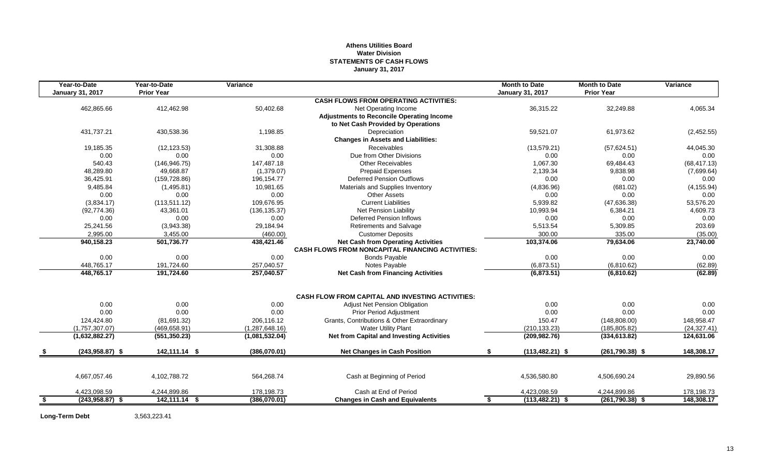## **Athens Utilities Board Water Division STATEMENTS OF CASH FLOWS January 31, 2017**

|      | Year-to-Date            | Year-to-Date      | Variance       |                                                                                               | <b>Month to Date</b>     | <b>Month to Date</b> | Variance     |
|------|-------------------------|-------------------|----------------|-----------------------------------------------------------------------------------------------|--------------------------|----------------------|--------------|
|      | <b>January 31, 2017</b> | <b>Prior Year</b> |                |                                                                                               | <b>January 31, 2017</b>  | <b>Prior Year</b>    |              |
|      |                         |                   |                | <b>CASH FLOWS FROM OPERATING ACTIVITIES:</b>                                                  |                          |                      |              |
|      | 462,865.66              | 412,462.98        | 50,402.68      | Net Operating Income                                                                          | 36,315.22                | 32,249.88            | 4,065.34     |
|      |                         |                   |                | <b>Adjustments to Reconcile Operating Income</b>                                              |                          |                      |              |
|      |                         |                   |                | to Net Cash Provided by Operations                                                            |                          |                      |              |
|      | 431,737.21              | 430,538.36        | 1,198.85       | Depreciation                                                                                  | 59,521.07                | 61,973.62            | (2,452.55)   |
|      |                         |                   |                | <b>Changes in Assets and Liabilities:</b>                                                     |                          |                      |              |
|      | 19,185.35               | (12, 123.53)      | 31,308.88      | <b>Receivables</b>                                                                            | (13, 579.21)             | (57,624.51)          | 44,045.30    |
|      | 0.00                    | 0.00              | 0.00           | Due from Other Divisions                                                                      | 0.00                     | 0.00                 | 0.00         |
|      | 540.43                  | (146, 946.75)     | 147,487.18     | <b>Other Receivables</b>                                                                      | 1,067.30                 | 69,484.43            | (68, 417.13) |
|      | 48.289.80               | 49.668.87         | (1,379.07)     | <b>Prepaid Expenses</b>                                                                       | 2,139.34                 | 9,838.98             | (7,699.64)   |
|      | 36,425.91               | (159, 728.86)     | 196,154.77     | <b>Deferred Pension Outflows</b>                                                              | 0.00                     | 0.00                 | 0.00         |
|      | 9,485.84                | (1,495.81)        | 10.981.65      | Materials and Supplies Inventory                                                              | (4,836.96)               | (681.02)             | (4, 155.94)  |
|      | 0.00                    | 0.00              | 0.00           | <b>Other Assets</b>                                                                           | 0.00                     | 0.00                 | 0.00         |
|      | (3,834.17)              | (113, 511.12)     | 109,676.95     | <b>Current Liabilities</b>                                                                    | 5,939.82                 | (47, 636.38)         | 53,576.20    |
|      | (92, 774.36)            | 43,361.01         | (136, 135.37)  | Net Pension Liability                                                                         | 10,993.94                | 6,384.21             | 4,609.73     |
|      | 0.00                    | 0.00              | 0.00           | <b>Deferred Pension Inflows</b>                                                               | 0.00                     | 0.00                 | 0.00         |
|      | 25.241.56               | (3,943.38)        | 29,184.94      | <b>Retirements and Salvage</b>                                                                | 5,513.54                 | 5,309.85             | 203.69       |
|      | 2,995.00                | 3,455.00          | (460.00)       | <b>Customer Deposits</b>                                                                      | 300.00                   | 335.00               | (35.00)      |
|      | 940,158.23              | 501,736.77        | 438,421.46     | <b>Net Cash from Operating Activities</b><br>CASH FLOWS FROM NONCAPITAL FINANCING ACTIVITIES: | 103,374.06               | 79,634.06            | 23,740.00    |
|      | 0.00                    | 0.00              | 0.00           | <b>Bonds Payable</b>                                                                          | 0.00                     | 0.00                 | 0.00         |
|      | 448.765.17              | 191,724.60        | 257,040.57     | Notes Payable                                                                                 | (6,873.51)               | (6,810.62)           | (62.89)      |
|      | 448,765.17              | 191,724.60        | 257,040.57     | <b>Net Cash from Financing Activities</b>                                                     | (6,873.51)               | (6,810.62)           | (62.89)      |
|      |                         |                   |                | <b>CASH FLOW FROM CAPITAL AND INVESTING ACTIVITIES:</b>                                       |                          |                      |              |
|      | 0.00                    | 0.00              | 0.00           | <b>Adjust Net Pension Obligation</b>                                                          | 0.00                     | 0.00                 | 0.00         |
|      | 0.00                    | 0.00              | 0.00           | Prior Period Adjustment                                                                       | 0.00                     | 0.00                 | 0.00         |
|      | 124,424.80              | (81,691.32)       | 206,116.12     | Grants, Contributions & Other Extraordinary                                                   | 150.47                   | (148, 808.00)        | 148,958.47   |
|      | (1,757,307.07)          | (469, 658.91)     | (1,287,648.16) | <b>Water Utility Plant</b>                                                                    | (210, 133.23)            | (185, 805.82)        | (24, 327.41) |
|      | (1,632,882.27)          | (551, 350.23)     | (1,081,532.04) | <b>Net from Capital and Investing Activities</b>                                              | (209, 982.76)            | (334, 613.82)        | 124,631.06   |
|      |                         |                   |                |                                                                                               |                          |                      |              |
|      | $(243,958.87)$ \$       | 142,111.14 \$     | (386,070.01)   | <b>Net Changes in Cash Position</b>                                                           | \$<br>$(113, 482.21)$ \$ | $(261,790.38)$ \$    | 148,308.17   |
|      |                         |                   |                |                                                                                               |                          |                      |              |
|      | 4,667,057.46            | 4,102,788.72      | 564,268.74     | Cash at Beginning of Period                                                                   | 4,536,580.80             | 4,506,690.24         | 29,890.56    |
|      | 4,423,098.59            | 4,244,899.86      | 178,198.73     | Cash at End of Period                                                                         | 4,423,098.59             | 4,244,899.86         | 178,198.73   |
| - \$ | $(243,958.87)$ \$       | 142,111.14 \$     | (386,070.01)   | <b>Changes in Cash and Equivalents</b>                                                        | $(113, 482.21)$ \$<br>\$ | $(261,790.38)$ \$    | 148,308.17   |

**Long-Term Debt** 3,563,223.41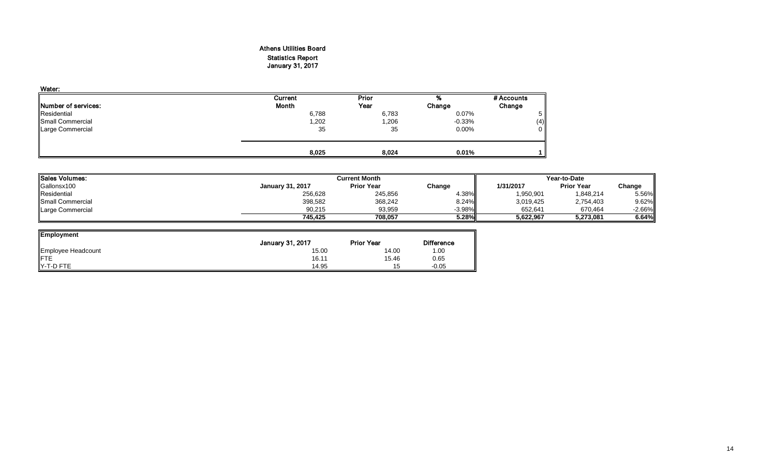## Athens Utilities Board Statistics Report January 31, 2017

| Current      | Prior | %        | # Accounts |
|--------------|-------|----------|------------|
| <b>Month</b> | Year  | Change   | Change     |
| 6,788        | 6,783 | 0.07%    |            |
| 1,202        | 1,206 | $-0.33%$ | (4)        |
| 35           | 35    | $0.00\%$ | $\Omega$   |
|              |       |          |            |
|              | 8,025 | 8,024    | 0.01%      |

| <b>ISales Volumes:</b>  |                         | <b>Current Month</b> |          |           |                   | Year-to-Date |  |  |
|-------------------------|-------------------------|----------------------|----------|-----------|-------------------|--------------|--|--|
| Gallonsx100             | <b>January 31, 2017</b> | <b>Prior Year</b>    | Change   | 1/31/2017 | <b>Prior Year</b> | Change       |  |  |
| Residential             | 256,628                 | 245,856              | 4.38%    | 1,950,901 | 1,848,214         | 5.56%        |  |  |
| <b>Small Commercial</b> | 398,582                 | 368,242              | 8.24%    | 3,019,425 | 2,754,403         | $9.62\%$     |  |  |
| Large Commercial        | 90,215                  | 93,959               | $-3.98%$ | 652.641   | 670,464           | $-2.66\%$    |  |  |
|                         | 745.425                 | 708.057              | 5.28%    | 5,622,967 | 5,273,081         | 6.64%        |  |  |

| <b>Employment</b>  |                  |                   |                   |
|--------------------|------------------|-------------------|-------------------|
|                    | January 31, 2017 | <b>Prior Year</b> | <b>Difference</b> |
| Employee Headcount | 15.00            | 14.00             | 1.00              |
| <b>FTE</b>         | 16.11            | 15.46             | 0.65              |
| Y-T-D FTE          | 14.95            | 15                | $-0.05$           |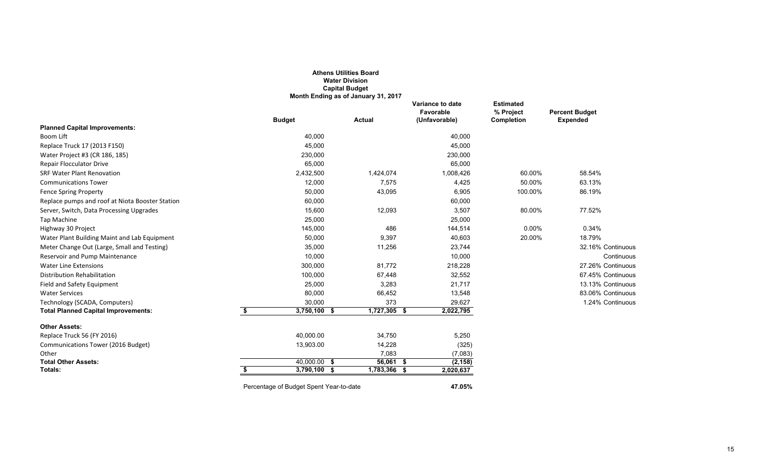|                                                 |    |                                         | <b>Athens Utilities Board</b><br><b>Water Division</b><br><b>Capital Budget</b><br>Month Ending as of January 31, 2017 |                                                       |                                                    |                                          |
|-------------------------------------------------|----|-----------------------------------------|------------------------------------------------------------------------------------------------------------------------|-------------------------------------------------------|----------------------------------------------------|------------------------------------------|
|                                                 |    | <b>Budget</b>                           | <b>Actual</b>                                                                                                          | <b>Variance to date</b><br>Favorable<br>(Unfavorable) | <b>Estimated</b><br>% Project<br><b>Completion</b> | <b>Percent Budget</b><br><b>Expended</b> |
| <b>Planned Capital Improvements:</b>            |    |                                         |                                                                                                                        |                                                       |                                                    |                                          |
| Boom Lift                                       |    | 40,000                                  |                                                                                                                        | 40,000                                                |                                                    |                                          |
| Replace Truck 17 (2013 F150)                    |    | 45,000                                  |                                                                                                                        | 45,000                                                |                                                    |                                          |
| Water Project #3 (CR 186, 185)                  |    | 230,000                                 |                                                                                                                        | 230,000                                               |                                                    |                                          |
| <b>Repair Flocculator Drive</b>                 |    | 65,000                                  |                                                                                                                        | 65,000                                                |                                                    |                                          |
| <b>SRF Water Plant Renovation</b>               |    | 2,432,500                               | 1,424,074                                                                                                              | 1,008,426                                             | 60.00%                                             | 58.54%                                   |
| <b>Communications Tower</b>                     |    | 12,000                                  | 7,575                                                                                                                  | 4,425                                                 | 50.00%                                             | 63.13%                                   |
| <b>Fence Spring Property</b>                    |    | 50,000                                  | 43,095                                                                                                                 | 6,905                                                 | 100.00%                                            | 86.19%                                   |
| Replace pumps and roof at Niota Booster Station |    | 60,000                                  |                                                                                                                        | 60,000                                                |                                                    |                                          |
| Server, Switch, Data Processing Upgrades        |    | 15,600                                  | 12,093                                                                                                                 | 3,507                                                 | 80.00%                                             | 77.52%                                   |
| <b>Tap Machine</b>                              |    | 25,000                                  |                                                                                                                        | 25,000                                                |                                                    |                                          |
| Highway 30 Project                              |    | 145,000                                 | 486                                                                                                                    | 144,514                                               | 0.00%                                              | 0.34%                                    |
| Water Plant Building Maint and Lab Equipment    |    | 50,000                                  | 9,397                                                                                                                  | 40,603                                                | 20.00%                                             | 18.79%                                   |
| Meter Change Out (Large, Small and Testing)     |    | 35,000                                  | 11,256                                                                                                                 | 23,744                                                |                                                    | 32.16% Continuous                        |
| Reservoir and Pump Maintenance                  |    | 10,000                                  |                                                                                                                        | 10,000                                                |                                                    | Continuous                               |
| <b>Water Line Extensions</b>                    |    | 300,000                                 | 81,772                                                                                                                 | 218,228                                               |                                                    | 27.26% Continuous                        |
| <b>Distribution Rehabilitation</b>              |    | 100,000                                 | 67,448                                                                                                                 | 32,552                                                |                                                    | 67.45% Continuous                        |
| Field and Safety Equipment                      |    | 25,000                                  | 3,283                                                                                                                  | 21,717                                                |                                                    | 13.13% Continuous                        |
| <b>Water Services</b>                           |    | 80,000                                  | 66,452                                                                                                                 | 13,548                                                |                                                    | 83.06% Continuous                        |
| Technology (SCADA, Computers)                   |    | 30,000                                  | 373                                                                                                                    | 29,627                                                |                                                    | 1.24% Continuous                         |
| <b>Total Planned Capital Improvements:</b>      | S. | $3,750,100$ \$                          | $1,727,305$ \$                                                                                                         | 2,022,795                                             |                                                    |                                          |
| <b>Other Assets:</b>                            |    |                                         |                                                                                                                        |                                                       |                                                    |                                          |
| Replace Truck 56 (FY 2016)                      |    | 40,000.00                               | 34,750                                                                                                                 | 5,250                                                 |                                                    |                                          |
| Communications Tower (2016 Budget)              |    | 13,903.00                               | 14,228                                                                                                                 | (325)                                                 |                                                    |                                          |
| Other                                           |    |                                         | 7,083                                                                                                                  | (7,083)                                               |                                                    |                                          |
| <b>Total Other Assets:</b>                      |    | 40,000.00 \$                            | 56,061 \$                                                                                                              | (2, 158)                                              |                                                    |                                          |
| Totals:                                         |    | 3,790,100 \$                            | 1,783,366 \$                                                                                                           | 2,020,637                                             |                                                    |                                          |
|                                                 |    | Percentage of Budget Spent Year-to-date |                                                                                                                        | 47.05%                                                |                                                    |                                          |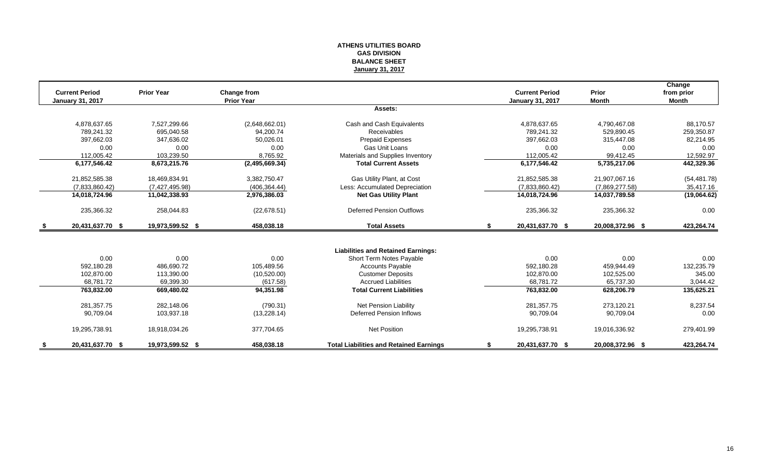## **ATHENS UTILITIES BOARD GAS DIVISION BALANCE SHEET January 31, 2017**

| <b>Current Period</b>   | <b>Prior Year</b> | Change from       |                                                | <b>Current Period</b>   | Prior            | Change<br>from prior |
|-------------------------|-------------------|-------------------|------------------------------------------------|-------------------------|------------------|----------------------|
| <b>January 31, 2017</b> |                   | <b>Prior Year</b> |                                                | <b>January 31, 2017</b> | <b>Month</b>     | Month                |
|                         |                   |                   | Assets:                                        |                         |                  |                      |
| 4,878,637.65            | 7,527,299.66      | (2,648,662.01)    | Cash and Cash Equivalents                      | 4,878,637.65            | 4,790,467.08     | 88,170.57            |
| 789.241.32              | 695.040.58        | 94.200.74         | <b>Receivables</b>                             | 789,241.32              | 529,890.45       | 259,350.87           |
| 397.662.03              | 347,636.02        | 50.026.01         | Prepaid Expenses                               | 397.662.03              | 315,447.08       | 82,214.95            |
| 0.00                    | 0.00              | 0.00              | <b>Gas Unit Loans</b>                          | 0.00                    | 0.00             | 0.00                 |
| 112.005.42              | 103,239.50        | 8,765.92          | Materials and Supplies Inventory               | 112.005.42              | 99,412.45        | 12.592.97            |
| 6,177,546.42            | 8,673,215.76      | (2,495,669.34)    | <b>Total Current Assets</b>                    | 6,177,546.42            | 5,735,217.06     | 442,329.36           |
| 21,852,585.38           | 18,469,834.91     | 3,382,750.47      | Gas Utility Plant, at Cost                     | 21,852,585.38           | 21,907,067.16    | (54, 481.78)         |
| (7,833,860.42)          | (7,427,495.98)    | (406, 364.44)     | Less: Accumulated Depreciation                 | (7,833,860.42)          | (7,869,277.58)   | 35,417.16            |
| 14,018,724.96           | 11,042,338.93     | 2,976,386.03      | <b>Net Gas Utility Plant</b>                   | 14,018,724.96           | 14,037,789.58    | (19,064.62)          |
| 235,366.32              | 258,044.83        | (22, 678.51)      | <b>Deferred Pension Outflows</b>               | 235,366.32              | 235,366.32       | 0.00                 |
| 20,431,637.70 \$        | 19,973,599.52 \$  | 458,038.18        | <b>Total Assets</b>                            | \$<br>20,431,637.70 \$  | 20,008,372.96 \$ | 423,264.74           |
|                         |                   |                   |                                                |                         |                  |                      |
|                         |                   |                   | <b>Liabilities and Retained Earnings:</b>      |                         |                  |                      |
| 0.00                    | 0.00              | 0.00              | Short Term Notes Payable                       | 0.00                    | 0.00             | 0.00                 |
| 592.180.28              | 486.690.72        | 105.489.56        | <b>Accounts Payable</b>                        | 592.180.28              | 459.944.49       | 132,235.79           |
| 102,870.00              | 113,390.00        | (10,520.00)       | <b>Customer Deposits</b>                       | 102,870.00              | 102,525.00       | 345.00               |
| 68.781.72               | 69,399.30         | (617.58)          | <b>Accrued Liabilities</b>                     | 68.781.72               | 65.737.30        | 3,044.42             |
| 763,832.00              | 669,480.02        | 94,351.98         | <b>Total Current Liabilities</b>               | 763,832.00              | 628,206.79       | 135,625.21           |
| 281,357.75              | 282.148.06        | (790.31)          | Net Pension Liability                          | 281,357.75              | 273.120.21       | 8,237.54             |
| 90,709.04               | 103,937.18        | (13, 228.14)      | Deferred Pension Inflows                       | 90,709.04               | 90,709.04        | 0.00                 |
| 19,295,738.91           | 18,918,034.26     | 377,704.65        | <b>Net Position</b>                            | 19,295,738.91           | 19,016,336.92    | 279,401.99           |
| 20,431,637.70 \$        | 19,973,599.52 \$  | 458.038.18        | <b>Total Liabilities and Retained Earnings</b> | 20,431,637.70 \$        | 20,008,372.96 \$ | 423,264.74           |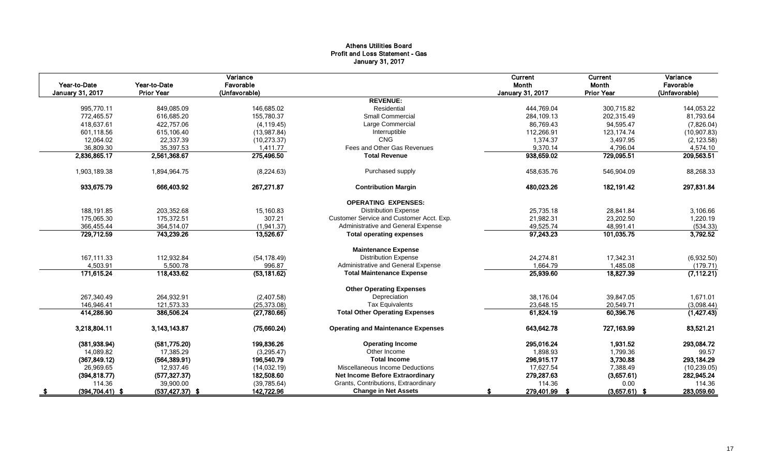## Athens Utilities Board Profit and Loss Statement - Gas January 31, 2017

| Year-to-Date<br>January 31, 2017 | Year-to-Date<br><b>Prior Year</b> | Variance<br>Favorable<br>(Unfavorable) |                                           | Current<br>Month<br><b>January 31, 2017</b> | Current<br>Month<br><b>Prior Year</b> | Variance<br>Favorable<br>(Unfavorable) |
|----------------------------------|-----------------------------------|----------------------------------------|-------------------------------------------|---------------------------------------------|---------------------------------------|----------------------------------------|
|                                  |                                   |                                        | <b>REVENUE:</b>                           |                                             |                                       |                                        |
| 995,770.11                       | 849,085.09                        | 146,685.02                             | Residential                               | 444,769.04                                  | 300,715.82                            | 144,053.22                             |
| 772,465.57                       | 616,685.20                        | 155,780.37                             | <b>Small Commercial</b>                   | 284,109.13                                  | 202,315.49                            | 81,793.64                              |
| 418,637.61                       | 422,757.06                        | (4, 119.45)                            | Large Commercial                          | 86,769.43                                   | 94,595.47                             | (7,826.04)                             |
| 601,118.56                       | 615,106.40                        | (13,987.84)                            | Interruptible                             | 112,266.91                                  | 123, 174.74                           | (10,907.83)                            |
| 12,064.02                        | 22,337.39                         | (10, 273.37)                           | <b>CNG</b>                                | 1,374.37                                    | 3,497.95                              | (2, 123.58)                            |
| 36,809.30                        | 35,397.53                         | 1,411.77                               | Fees and Other Gas Revenues               | 9,370.14                                    | 4,796.04                              | 4,574.10                               |
| 2,836,865.17                     | 2,561,368.67                      | 275,496.50                             | <b>Total Revenue</b>                      | 938,659.02                                  | 729,095.51                            | 209,563.51                             |
| 1,903,189.38                     | 1,894,964.75                      | (8,224.63)                             | Purchased supply                          | 458,635.76                                  | 546,904.09                            | 88,268.33                              |
| 933,675.79                       | 666,403.92                        | 267,271.87                             | <b>Contribution Margin</b>                | 480,023.26                                  | 182,191.42                            | 297,831.84                             |
|                                  |                                   |                                        | <b>OPERATING EXPENSES:</b>                |                                             |                                       |                                        |
| 188,191.85                       | 203,352.68                        | 15,160.83                              | <b>Distribution Expense</b>               | 25,735.18                                   | 28,841.84                             | 3,106.66                               |
| 175.065.30                       | 175,372.51                        | 307.21                                 | Customer Service and Customer Acct. Exp.  | 21,982.31                                   | 23,202.50                             | 1,220.19                               |
| 366,455.44                       | 364,514.07                        | (1,941.37)                             | Administrative and General Expense        | 49,525.74                                   | 48,991.41                             | (534.33)                               |
| 729,712.59                       | 743,239.26                        | 13,526.67                              | <b>Total operating expenses</b>           | 97,243.23                                   | 101,035.75                            | 3,792.52                               |
|                                  |                                   |                                        | <b>Maintenance Expense</b>                |                                             |                                       |                                        |
| 167,111.33                       | 112,932.84                        | (54, 178.49)                           | <b>Distribution Expense</b>               | 24,274.81                                   | 17,342.31                             | (6,932.50)                             |
| 4,503.91                         | 5,500.78                          | 996.87                                 | Administrative and General Expense        | 1,664.79                                    | 1,485.08                              | (179.71)                               |
| 171,615.24                       | 118,433.62                        | (53, 181.62)                           | <b>Total Maintenance Expense</b>          | 25,939.60                                   | 18,827.39                             | (7, 112.21)                            |
|                                  |                                   |                                        | <b>Other Operating Expenses</b>           |                                             |                                       |                                        |
| 267,340.49                       | 264,932.91                        | (2,407.58)                             | Depreciation                              | 38,176.04                                   | 39,847.05                             | 1,671.01                               |
| 146,946.41                       | 121,573.33                        | (25, 373.08)                           | <b>Tax Equivalents</b>                    | 23,648.15                                   | 20,549.71                             | (3,098.44)                             |
| 414,286.90                       | 386,506.24                        | (27,780.66)                            | <b>Total Other Operating Expenses</b>     | 61,824.19                                   | 60,396.76                             | (1,427.43)                             |
| 3,218,804.11                     | 3, 143, 143.87                    | (75,660.24)                            | <b>Operating and Maintenance Expenses</b> | 643,642.78                                  | 727,163.99                            | 83,521.21                              |
| (381, 938.94)                    | (581,775.20)                      | 199.836.26                             | <b>Operating Income</b>                   | 295.016.24                                  | 1.931.52                              | 293,084.72                             |
| 14,089.82                        | 17,385.29                         | (3,295.47)                             | Other Income                              | 1,898.93                                    | 1,799.36                              | 99.57                                  |
| (367, 849.12)                    | (564, 389.91)                     | 196,540.79                             | <b>Total Income</b>                       | 296,915.17                                  | 3,730.88                              | 293,184.29                             |
| 26,969.65                        | 12,937.46                         | (14,032.19)                            | Miscellaneous Income Deductions           | 17,627.54                                   | 7,388.49                              | (10, 239.05)                           |
| (394, 818.77)                    | (577, 327.37)                     | 182,508.60                             | <b>Net Income Before Extraordinary</b>    | 279,287.63                                  | (3,657.61)                            | 282,945.24                             |
| 114.36                           | 39,900.00                         | (39, 785.64)                           | Grants, Contributions, Extraordinary      | 114.36                                      | 0.00                                  | 114.36                                 |
| $(394, 704.41)$ \$               | $(537, 427.37)$ \$                | 142,722.96                             | <b>Change in Net Assets</b>               | 279,401.99                                  | $(3,657.61)$ \$<br>- \$               | 283,059.60                             |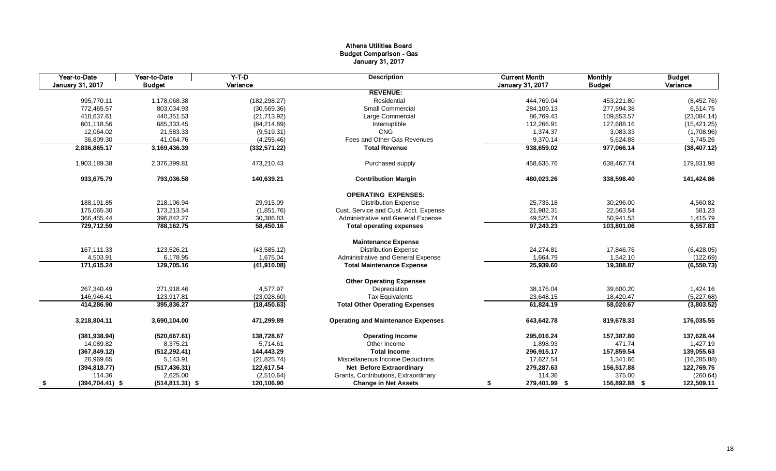## Athens Utilities Board Budget Comparison - Gas January 31, 2017

|      | Year-to-Date            | Year-to-Date       | $Y-T-D$       | <b>Description</b>                        | <b>Current Month</b>    | <b>Monthly</b> | <b>Budget</b> |
|------|-------------------------|--------------------|---------------|-------------------------------------------|-------------------------|----------------|---------------|
|      | <b>January 31, 2017</b> | <b>Budget</b>      | Variance      |                                           | <b>January 31, 2017</b> | <b>Budget</b>  | Variance      |
|      |                         |                    |               | <b>REVENUE:</b>                           |                         |                |               |
|      | 995,770.11              | 1,178,068.38       | (182, 298.27) | Residential                               | 444,769.04              | 453,221.80     | (8,452.76)    |
|      | 772,465.57              | 803,034.93         | (30, 569.36)  | <b>Small Commercial</b>                   | 284,109.13              | 277,594.38     | 6,514.75      |
|      | 418,637.61              | 440,351.53         | (21,713.92)   | Large Commercial                          | 86,769.43               | 109,853.57     | (23,084.14)   |
|      | 601,118.56              | 685,333.45         | (84, 214.89)  | Interruptible                             | 112,266.91              | 127,688.16     | (15, 421.25)  |
|      | 12,064.02               | 21,583.33          | (9,519.31)    | <b>CNG</b>                                | 1,374.37                | 3,083.33       | (1,708.96)    |
|      | 36,809.30               | 41,064.76          | (4, 255.46)   | Fees and Other Gas Revenues               | 9,370.14                | 5,624.88       | 3,745.26      |
|      | 2,836,865.17            | 3,169,436.39       | (332, 571.22) | <b>Total Revenue</b>                      | 938,659.02              | 977,066.14     | (38, 407.12)  |
|      | 1,903,189.38            | 2,376,399.81       | 473,210.43    | Purchased supply                          | 458,635.76              | 638,467.74     | 179,831.98    |
|      | 933,675.79              | 793,036.58         | 140,639.21    | <b>Contribution Margin</b>                | 480,023.26              | 338,598.40     | 141,424.86    |
|      |                         |                    |               | <b>OPERATING EXPENSES:</b>                |                         |                |               |
|      | 188,191.85              | 218,106.94         | 29,915.09     | <b>Distribution Expense</b>               | 25,735.18               | 30,296.00      | 4,560.82      |
|      | 175,065.30              | 173,213.54         | (1,851.76)    | Cust. Service and Cust. Acct. Expense     | 21,982.31               | 22,563.54      | 581.23        |
|      | 366,455.44              | 396,842.27         | 30,386.83     | Administrative and General Expense        | 49,525.74               | 50,941.53      | 1,415.79      |
|      | 729,712.59              | 788,162.75         | 58,450.16     | <b>Total operating expenses</b>           | 97,243.23               | 103,801.06     | 6,557.83      |
|      |                         |                    |               | <b>Maintenance Expense</b>                |                         |                |               |
|      | 167,111.33              | 123,526.21         | (43, 585.12)  | <b>Distribution Expense</b>               | 24,274.81               | 17,846.76      | (6,428.05)    |
|      | 4,503.91                | 6,178.95           | 1,675.04      | Administrative and General Expense        | 1,664.79                | 1,542.10       | (122.69)      |
|      | 171,615.24              | 129,705.16         | (41,910.08)   | <b>Total Maintenance Expense</b>          | 25,939.60               | 19,388.87      | (6, 550.73)   |
|      |                         |                    |               | <b>Other Operating Expenses</b>           |                         |                |               |
|      | 267,340.49              | 271,918.46         | 4,577.97      | Depreciation                              | 38,176.04               | 39,600.20      | 1,424.16      |
|      | 146,946.41              | 123,917.81         | (23,028.60)   | <b>Tax Equivalents</b>                    | 23,648.15               | 18,420.47      | (5,227.68)    |
|      | 414,286.90              | 395,836.27         | (18, 450.63)  | <b>Total Other Operating Expenses</b>     | 61,824.19               | 58,020.67      | (3,803.52)    |
|      | 3,218,804.11            | 3,690,104.00       | 471,299.89    | <b>Operating and Maintenance Expenses</b> | 643,642.78              | 819,678.33     | 176,035.55    |
|      | (381, 938.94)           | (520, 667.61)      | 138,728.67    | <b>Operating Income</b>                   | 295,016.24              | 157,387.80     | 137,628.44    |
|      | 14,089.82               | 8,375.21           | 5.714.61      | Other Income                              | 1,898.93                | 471.74         | 1,427.19      |
|      | (367, 849.12)           | (512, 292.41)      | 144,443.29    | <b>Total Income</b>                       | 296,915.17              | 157,859.54     | 139,055.63    |
|      | 26,969.65               | 5,143.91           | (21, 825.74)  | Miscellaneous Income Deductions           | 17,627.54               | 1,341.66       | (16, 285.88)  |
|      | (394, 818.77)           | (517, 436.31)      | 122,617.54    | Net Before Extraordinary                  | 279,287.63              | 156,517.88     | 122,769.75    |
|      | 114.36                  | 2,625.00           | (2,510.64)    | Grants, Contributions, Extraordinary      | 114.36                  | 375.00         | (260.64)      |
| - \$ | $(394, 704.41)$ \$      | $(514, 811.31)$ \$ | 120,106.90    | <b>Change in Net Assets</b>               | 279,401.99 \$<br>\$     | 156,892.88 \$  | 122,509.11    |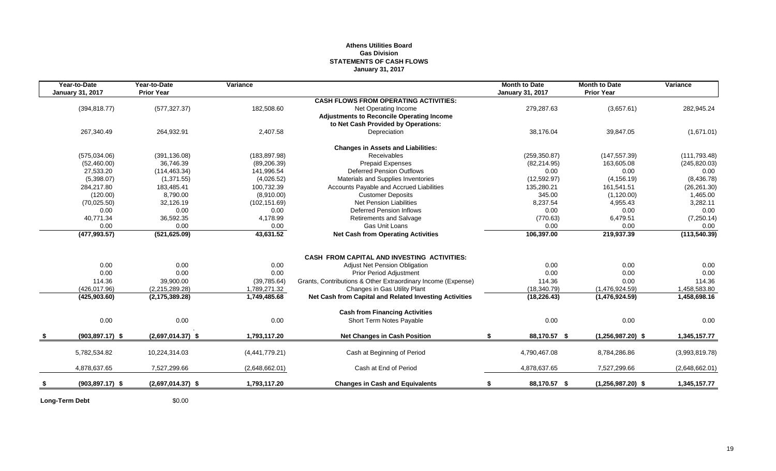## **Athens Utilities Board Gas Division STATEMENTS OF CASH FLOWS January 31, 2017**

| Year-to-Date<br><b>January 31, 2017</b> | Year-to-Date<br><b>Prior Year</b> | Variance               |                                                              | <b>Month to Date</b><br><b>January 31, 2017</b> | <b>Month to Date</b><br><b>Prior Year</b> | Variance       |
|-----------------------------------------|-----------------------------------|------------------------|--------------------------------------------------------------|-------------------------------------------------|-------------------------------------------|----------------|
|                                         |                                   |                        | <b>CASH FLOWS FROM OPERATING ACTIVITIES:</b>                 |                                                 |                                           |                |
| (394, 818.77)                           | (577, 327.37)                     | 182,508.60             | Net Operating Income                                         | 279,287.63                                      | (3,657.61)                                | 282,945.24     |
|                                         |                                   |                        | <b>Adjustments to Reconcile Operating Income</b>             |                                                 |                                           |                |
|                                         |                                   |                        | to Net Cash Provided by Operations:                          |                                                 |                                           |                |
| 267,340.49                              | 264,932.91                        | 2,407.58               | Depreciation                                                 | 38,176.04                                       | 39,847.05                                 | (1,671.01)     |
|                                         |                                   |                        | <b>Changes in Assets and Liabilities:</b>                    |                                                 |                                           |                |
| (575,034.06)                            | (391, 136.08)                     | (183, 897.98)          | <b>Receivables</b>                                           | (259, 350.87)                                   | (147, 557.39)                             | (111, 793.48)  |
| (52, 460.00)                            | 36.746.39                         | (89, 206.39)           | <b>Prepaid Expenses</b>                                      | (82, 214.95)                                    | 163.605.08                                | (245, 820.03)  |
| 27,533.20                               | (114, 463.34)                     | 141,996.54             | <b>Deferred Pension Outflows</b>                             | 0.00                                            | 0.00                                      | 0.00           |
| (5,398.07)                              | (1,371.55)                        | (4,026.52)             | Materials and Supplies Inventories                           | (12, 592.97)                                    | (4, 156.19)                               | (8,436.78)     |
| 284.217.80                              | 183,485.41                        | 100,732.39             | Accounts Payable and Accrued Liabilities                     | 135,280.21                                      | 161,541.51                                | (26, 261.30)   |
| (120.00)                                | 8,790.00                          | (8,910.00)             | <b>Customer Deposits</b>                                     | 345.00                                          | (1, 120.00)                               | 1,465.00       |
| (70,025.50)                             | 32,126.19                         | (102, 151.69)          | <b>Net Pension Liabilities</b>                               | 8,237.54                                        | 4,955.43                                  | 3,282.11       |
| 0.00                                    | 0.00                              | 0.00                   | <b>Deferred Pension Inflows</b>                              | 0.00                                            | 0.00                                      | 0.00           |
| 40,771.34                               | 36,592.35                         | 4,178.99               | <b>Retirements and Salvage</b>                               | (770.63)                                        | 6,479.51                                  | (7,250.14)     |
| 0.00                                    | 0.00                              | 0.00                   | Gas Unit Loans                                               | 0.00                                            | 0.00                                      | 0.00           |
| (477, 993.57)                           | (521, 625.09)                     | 43,631.52              | <b>Net Cash from Operating Activities</b>                    | 106,397.00                                      | 219,937.39                                | (113, 540.39)  |
|                                         |                                   |                        |                                                              |                                                 |                                           |                |
|                                         |                                   |                        | <b>CASH FROM CAPITAL AND INVESTING ACTIVITIES:</b>           |                                                 |                                           |                |
| 0.00                                    | 0.00                              | 0.00                   | <b>Adjust Net Pension Obligation</b>                         | 0.00                                            | 0.00                                      | 0.00           |
| 0.00                                    | 0.00                              | 0.00                   | <b>Prior Period Adjustment</b>                               | 0.00                                            | 0.00                                      | 0.00           |
| 114.36                                  | 39,900.00                         | (39, 785.64)           | Grants, Contributions & Other Extraordinary Income (Expense) | 114.36                                          | 0.00                                      | 114.36         |
| (426, 017.96)                           | (2,215,289.28)                    | 1,789,271.32           | Changes in Gas Utility Plant                                 | (18, 340.79)                                    | (1,476,924.59)                            | 1,458,583.80   |
| (425, 903.60)                           | (2, 175, 389.28)                  | 1,749,485.68           | Net Cash from Capital and Related Investing Activities       | (18, 226.43)                                    | (1,476,924.59)                            | 1,458,698.16   |
|                                         |                                   |                        | <b>Cash from Financing Activities</b>                        |                                                 |                                           |                |
|                                         |                                   |                        |                                                              |                                                 |                                           | 0.00           |
|                                         |                                   |                        |                                                              |                                                 |                                           |                |
| $(903, 897.17)$ \$                      | $(2,697,014.37)$ \$               | 1,793,117.20           | <b>Net Changes in Cash Position</b>                          | \$<br>88,170.57 \$                              | $(1,256,987.20)$ \$                       | 1,345,157.77   |
| 5,782,534.82                            | 10,224,314.03                     | (4,441,779.21)         | Cash at Beginning of Period                                  | 4,790,467.08                                    | 8,784,286.86                              | (3,993,819.78) |
|                                         |                                   |                        |                                                              |                                                 |                                           | (2,648,662.01) |
|                                         |                                   |                        |                                                              |                                                 |                                           |                |
| $(903, 897.17)$ \$                      | $(2,697,014.37)$ \$               | 1,793,117.20           | <b>Changes in Cash and Equivalents</b>                       | 88,170.57 \$                                    | $(1,256,987.20)$ \$                       | 1,345,157.77   |
| 0.00<br>4,878,637.65                    | 0.00<br>7,527,299.66              | 0.00<br>(2,648,662.01) | Short Term Notes Payable<br>Cash at End of Period            | 0.00<br>4,878,637.65                            | 0.00<br>7,527,299.66                      |                |

**Long-Term Debt** \$0.00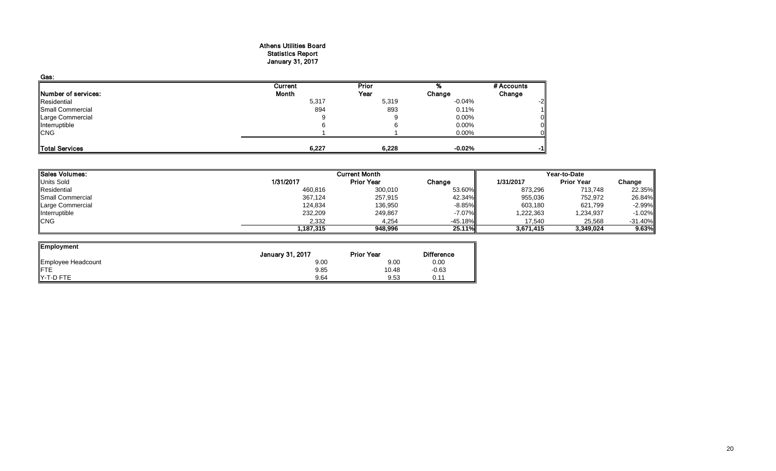#### Athens Utilities Board Statistics Report January 31, 2017

| Gas:                |              |       |           |            |
|---------------------|--------------|-------|-----------|------------|
|                     | Current      | Prior |           | # Accounts |
| Number of services: | <b>Month</b> | Year  | Change    | Change     |
| Residential         | 5,317        | 5,319 | $-0.04\%$ | -2         |
| Small Commercial    | 894          | 893   | 0.11%     |            |
| Large Commercial    | 9            |       | $0.00\%$  |            |
| Interruptible       |              |       | 0.00%     |            |
| <b>CNG</b>          |              |       | 0.00%     |            |
| Total Services      | 6,227        | 6,228 | $-0.02\%$ | -1         |

| <b>Sales Volumes:</b><br><b>Current Month</b> |           |                   |           |           | Year-to-Date      |           |
|-----------------------------------------------|-----------|-------------------|-----------|-----------|-------------------|-----------|
| <b>Units Sold</b>                             | 1/31/2017 | <b>Prior Year</b> | Change    | 1/31/2017 | <b>Prior Year</b> | Change    |
| Residential                                   | 460,816   | 300,010           | 53.60%    | 873,296   | 713,748           | 22.35%    |
| Small Commercial                              | 367,124   | 257,915           | 42.34%    | 955,036   | 752,972           | 26.84%    |
| Large Commercial                              | 124,834   | 136,950           | $-8.85\%$ | 603,180   | 621,799           | $-2.99\%$ |
| Interruptible                                 | 232,209   | 249,867           | -7.07%    | 1,222,363 | 1,234,937         | $-1.02%$  |
| <b>CNG</b>                                    | 2,332     | 4,254             | $-45.18%$ | 17.540    | 25,568            | $-31.40%$ |
|                                               | .187,315  | 948,996           | 25.11%    | 3,671,415 | 3,349,024         | 9.63%     |

ᆜ

| Employment         |                         |                   |                   |
|--------------------|-------------------------|-------------------|-------------------|
|                    | <b>January 31, 2017</b> | <b>Prior Year</b> | <b>Difference</b> |
| Employee Headcount | 9.00                    | 9.00              | 0.00              |
| FTE                | 9.85                    | 10.48             | $-0.63$           |
| Y-T-D FTE          | 9.64                    | 9.53              | 0.11              |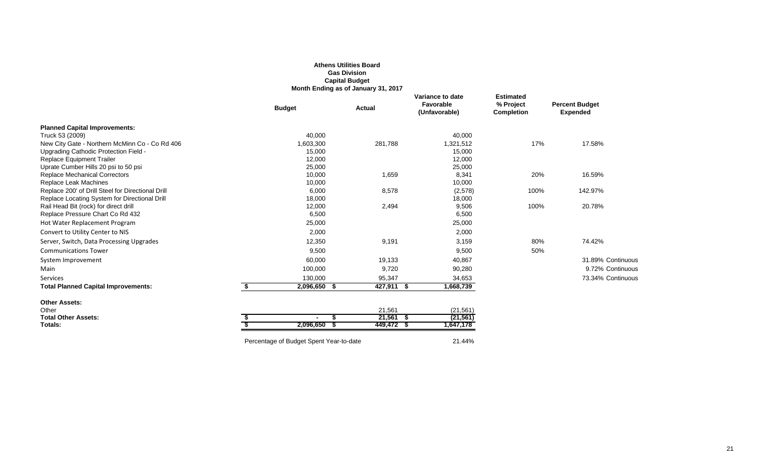|                                                                                        |                                         | <b>Gas Division</b><br><b>Capital Budget</b><br>Month Ending as of January 31, 2017 |                                                |                                                    |                                          |
|----------------------------------------------------------------------------------------|-----------------------------------------|-------------------------------------------------------------------------------------|------------------------------------------------|----------------------------------------------------|------------------------------------------|
|                                                                                        | <b>Budget</b>                           | Actual                                                                              | Variance to date<br>Favorable<br>(Unfavorable) | <b>Estimated</b><br>% Project<br><b>Completion</b> | <b>Percent Budget</b><br><b>Expended</b> |
| <b>Planned Capital Improvements:</b>                                                   |                                         |                                                                                     |                                                |                                                    |                                          |
| Truck 53 (2009)                                                                        | 40,000                                  |                                                                                     | 40,000                                         |                                                    |                                          |
| New City Gate - Northern McMinn Co - Co Rd 406                                         | 1,603,300                               | 281,788                                                                             | 1,321,512                                      | 17%                                                | 17.58%                                   |
| Upgrading Cathodic Protection Field -                                                  | 15,000                                  |                                                                                     | 15,000                                         |                                                    |                                          |
| Replace Equipment Trailer                                                              | 12,000                                  |                                                                                     | 12,000                                         |                                                    |                                          |
| Uprate Cumber Hills 20 psi to 50 psi                                                   | 25,000                                  |                                                                                     | 25,000                                         |                                                    |                                          |
| <b>Replace Mechanical Correctors</b>                                                   | 10,000                                  | 1,659                                                                               | 8,341                                          | 20%                                                | 16.59%                                   |
| Replace Leak Machines                                                                  | 10,000                                  |                                                                                     | 10,000                                         |                                                    |                                          |
| Replace 200' of Drill Steel for Directional Drill                                      | 6,000<br>18,000                         | 8,578                                                                               | (2,578)<br>18,000                              | 100%                                               | 142.97%                                  |
| Replace Locating System for Directional Drill<br>Rail Head Bit (rock) for direct drill | 12,000                                  | 2,494                                                                               | 9,506                                          | 100%                                               | 20.78%                                   |
| Replace Pressure Chart Co Rd 432                                                       | 6,500                                   |                                                                                     | 6,500                                          |                                                    |                                          |
| Hot Water Replacement Program                                                          | 25,000                                  |                                                                                     | 25,000                                         |                                                    |                                          |
| Convert to Utility Center to NIS                                                       | 2,000                                   |                                                                                     | 2,000                                          |                                                    |                                          |
| Server, Switch, Data Processing Upgrades                                               | 12,350                                  | 9,191                                                                               | 3,159                                          | 80%                                                | 74.42%                                   |
| <b>Communications Tower</b>                                                            | 9,500                                   |                                                                                     | 9,500                                          | 50%                                                |                                          |
| System Improvement                                                                     | 60,000                                  | 19,133                                                                              | 40,867                                         |                                                    | 31.89% Continuous                        |
| Main                                                                                   | 100,000                                 | 9,720                                                                               | 90,280                                         |                                                    | 9.72% Continuous                         |
| Services                                                                               | 130,000                                 | 95,347                                                                              | 34,653                                         |                                                    | 73.34% Continuous                        |
| <b>Total Planned Capital Improvements:</b>                                             | \$<br>2,096,650                         | 427,911 \$<br>- \$                                                                  | 1,668,739                                      |                                                    |                                          |
| <b>Other Assets:</b>                                                                   |                                         |                                                                                     |                                                |                                                    |                                          |
| Other                                                                                  |                                         | 21,561                                                                              | (21, 561)                                      |                                                    |                                          |
| <b>Total Other Assets:</b>                                                             | $\blacksquare$                          | $21,561$ \$                                                                         | (21, 561)                                      |                                                    |                                          |
| Totals:                                                                                | 2,096,650                               | 449,472 \$                                                                          | 1,647,178                                      |                                                    |                                          |
|                                                                                        | Percentage of Budget Spent Year-to-date |                                                                                     | 21.44%                                         |                                                    |                                          |

## **Athens Utilities Board**

**Gas Division**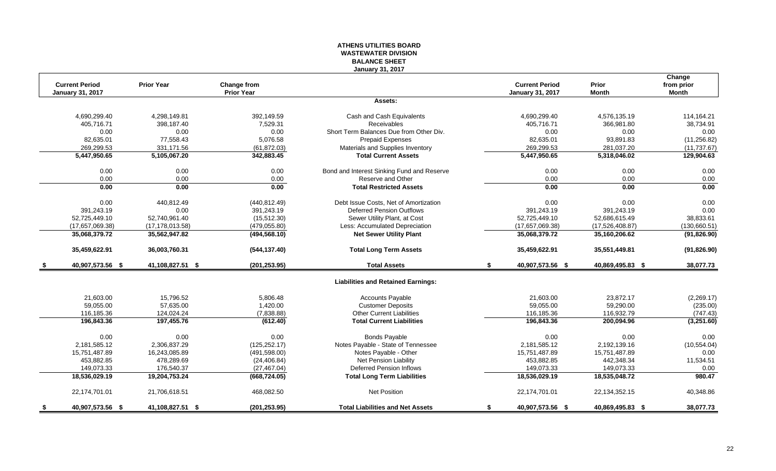## **ATHENS UTILITIES BOARD WASTEWATER DIVISION BALANCE SHEET January 31, 2017**

|                         |                   |                    |                                            |                         |                  | Change       |
|-------------------------|-------------------|--------------------|--------------------------------------------|-------------------------|------------------|--------------|
| <b>Current Period</b>   | <b>Prior Year</b> | <b>Change from</b> |                                            | <b>Current Period</b>   | <b>Prior</b>     | from prior   |
| <b>January 31, 2017</b> |                   | <b>Prior Year</b>  |                                            | <b>January 31, 2017</b> | <b>Month</b>     | <b>Month</b> |
|                         |                   |                    | Assets:                                    |                         |                  |              |
| 4,690,299.40            | 4,298,149.81      | 392,149.59         | Cash and Cash Equivalents                  | 4,690,299.40            | 4,576,135.19     | 114,164.21   |
| 405,716.71              | 398,187.40        | 7,529.31           | Receivables                                | 405,716.71              | 366,981.80       | 38,734.91    |
| 0.00                    | 0.00              | 0.00               | Short Term Balances Due from Other Div.    | 0.00                    | 0.00             | 0.00         |
| 82,635.01               | 77,558.43         | 5,076.58           | Prepaid Expenses                           | 82,635.01               | 93,891.83        | (11, 256.82) |
| 269,299.53              | 331,171.56        | (61, 872.03)       | Materials and Supplies Inventory           | 269,299.53              | 281,037.20       | (11, 737.67) |
| 5,447,950.65            | 5,105,067.20      | 342,883.45         | <b>Total Current Assets</b>                | 5,447,950.65            | 5,318,046.02     | 129,904.63   |
| 0.00                    | 0.00              | 0.00               | Bond and Interest Sinking Fund and Reserve | 0.00                    | 0.00             | 0.00         |
| 0.00                    | 0.00              | 0.00               | Reserve and Other                          | 0.00                    | 0.00             | 0.00         |
| 0.00                    | 0.00              | 0.00               | <b>Total Restricted Assets</b>             | 0.00                    | 0.00             | 0.00         |
| 0.00                    | 440,812.49        | (440, 812.49)      | Debt Issue Costs, Net of Amortization      | 0.00                    | 0.00             | 0.00         |
| 391,243.19              | 0.00              | 391,243.19         | Deferred Pension Outflows                  | 391,243.19              | 391,243.19       | 0.00         |
| 52,725,449.10           | 52,740,961.40     | (15, 512.30)       | Sewer Utility Plant, at Cost               | 52,725,449.10           | 52,686,615.49    | 38,833.61    |
| (17,657,069.38)         | (17, 178, 013.58) | (479, 055.80)      | Less: Accumulated Depreciation             | (17,657,069.38)         | (17,526,408.87)  | (130,660.51) |
| 35,068,379.72           | 35,562,947.82     | (494, 568.10)      | <b>Net Sewer Utility Plant</b>             | 35,068,379.72           | 35,160,206.62    | (91, 826.90) |
| 35,459,622.91           | 36,003,760.31     | (544, 137.40)      | <b>Total Long Term Assets</b>              | 35,459,622.91           | 35,551,449.81    | (91, 826.90) |
| 40,907,573.56 \$        | 41,108,827.51 \$  | (201, 253.95)      | <b>Total Assets</b>                        | \$<br>40,907,573.56 \$  | 40,869,495.83 \$ | 38,077.73    |
|                         |                   |                    | <b>Liabilities and Retained Earnings:</b>  |                         |                  |              |
| 21,603.00               | 15,796.52         | 5,806.48           | Accounts Payable                           | 21,603.00               | 23,872.17        | (2,269.17)   |
| 59,055.00               | 57,635.00         | 1,420.00           | <b>Customer Deposits</b>                   | 59,055.00               | 59,290.00        | (235.00)     |
| 116,185.36              | 124,024.24        | (7,838.88)         | <b>Other Current Liabilities</b>           | 116,185.36              | 116,932.79       | (747.43)     |
| 196,843.36              | 197,455.76        | (612.40)           | <b>Total Current Liabilities</b>           | 196,843.36              | 200,094.96       | (3,251.60)   |
| 0.00                    | 0.00              | 0.00               | <b>Bonds Payable</b>                       | 0.00                    | 0.00             | 0.00         |
| 2,181,585.12            | 2,306,837.29      | (125, 252.17)      | Notes Payable - State of Tennessee         | 2,181,585.12            | 2,192,139.16     | (10, 554.04) |
| 15,751,487.89           | 16,243,085.89     | (491, 598.00)      | Notes Payable - Other                      | 15,751,487.89           | 15,751,487.89    | 0.00         |
| 453.882.85              | 478.289.69        | (24, 406.84)       | <b>Net Pension Liability</b>               | 453,882.85              | 442.348.34       | 11,534.51    |
| 149,073.33              | 176,540.37        | (27, 467.04)       | <b>Deferred Pension Inflows</b>            | 149,073.33              | 149,073.33       | 0.00         |
| 18,536,029.19           | 19,204,753.24     | (668, 724.05)      | <b>Total Long Term Liabilities</b>         | 18,536,029.19           | 18,535,048.72    | 980.47       |
| 22,174,701.01           | 21,706,618.51     | 468,082.50         | <b>Net Position</b>                        | 22,174,701.01           | 22, 134, 352. 15 | 40,348.86    |
| \$<br>40,907,573.56 \$  | 41,108,827.51 \$  | (201, 253.95)      | <b>Total Liabilities and Net Assets</b>    | \$<br>40,907,573.56 \$  | 40,869,495.83 \$ | 38,077.73    |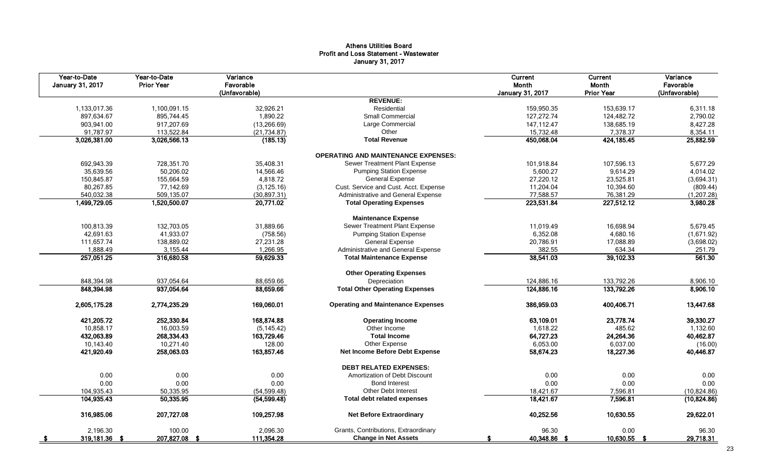## Athens Utilities Board Profit and Loss Statement - Wastewater January 31, 2017

| Year-to-Date<br><b>January 31, 2017</b> | Year-to-Date<br><b>Prior Year</b> | Variance<br>Favorable<br>(Unfavorable) |                                            | Current<br>Month<br>January 31, 2017 | Current<br>Month<br><b>Prior Year</b> | Variance<br>Favorable<br>(Unfavorable) |
|-----------------------------------------|-----------------------------------|----------------------------------------|--------------------------------------------|--------------------------------------|---------------------------------------|----------------------------------------|
|                                         |                                   |                                        | <b>REVENUE:</b>                            |                                      |                                       |                                        |
| 1,133,017.36                            | 1,100,091.15                      | 32,926.21                              | Residential                                | 159,950.35                           | 153,639.17                            | 6,311.18                               |
| 897,634.67                              | 895,744.45                        | 1,890.22                               | <b>Small Commercial</b>                    | 127,272.74                           | 124,482.72                            | 2,790.02                               |
| 903,941.00                              | 917,207.69                        | (13, 266.69)                           | Large Commercial                           | 147, 112.47                          | 138,685.19                            | 8,427.28                               |
| 91,787.97                               | 113,522.84                        | (21, 734.87)                           | Other                                      | 15,732.48                            | 7,378.37                              | 8,354.11                               |
| 3,026,381.00                            | 3,026,566.13                      | (185.13)                               | <b>Total Revenue</b>                       | 450,068.04                           | 424, 185.45                           | 25,882.59                              |
|                                         |                                   |                                        | <b>OPERATING AND MAINTENANCE EXPENSES:</b> |                                      |                                       |                                        |
| 692,943.39                              | 728,351.70                        | 35,408.31                              | Sewer Treatment Plant Expense              | 101,918.84                           | 107.596.13                            | 5,677.29                               |
| 35,639.56                               | 50,206.02                         | 14,566.46                              | <b>Pumping Station Expense</b>             | 5,600.27                             | 9,614.29                              | 4,014.02                               |
| 150,845.87                              | 155,664.59                        | 4,818.72                               | <b>General Expense</b>                     | 27,220.12                            | 23,525.81                             | (3,694.31)                             |
| 80,267.85                               | 77,142.69                         | (3, 125.16)                            | Cust. Service and Cust. Acct. Expense      | 11,204.04                            | 10,394.60                             | (809.44)                               |
| 540,032.38                              | 509,135.07                        | (30, 897.31)                           | Administrative and General Expense         | 77,588.57                            | 76,381.29                             | (1, 207.28)                            |
| 1,499,729.05                            | 1,520,500.07                      | 20,771.02                              | <b>Total Operating Expenses</b>            | 223,531.84                           | 227,512.12                            | 3,980.28                               |
|                                         |                                   |                                        | <b>Maintenance Expense</b>                 |                                      |                                       |                                        |
| 100,813.39                              | 132,703.05                        | 31,889.66                              | Sewer Treatment Plant Expense              | 11,019.49                            | 16,698.94                             | 5,679.45                               |
| 42,691.63                               | 41,933.07                         | (758.56)                               | <b>Pumping Station Expense</b>             | 6,352.08                             | 4,680.16                              | (1,671.92)                             |
| 111,657.74                              | 138,889.02                        | 27,231.28                              | General Expense                            | 20,786.91                            | 17.088.89                             | (3,698.02)                             |
| 1,888.49                                | 3,155.44                          | 1,266.95                               | Administrative and General Expense         | 382.55                               | 634.34                                | 251.79                                 |
| 257,051.25                              | 316,680.58                        | 59,629.33                              | <b>Total Maintenance Expense</b>           | 38,541.03                            | 39,102.33                             | 561.30                                 |
|                                         |                                   |                                        | <b>Other Operating Expenses</b>            |                                      |                                       |                                        |
| 848,394.98                              | 937,054.64                        | 88,659.66                              | Depreciation                               | 124,886.16                           | 133,792.26                            | 8,906.10                               |
| 848,394.98                              | 937,054.64                        | 88,659.66                              | <b>Total Other Operating Expenses</b>      | 124,886.16                           | 133,792.26                            | 8,906.10                               |
| 2,605,175.28                            | 2,774,235.29                      | 169,060.01                             | <b>Operating and Maintenance Expenses</b>  | 386,959.03                           | 400,406.71                            | 13,447.68                              |
| 421,205.72                              | 252,330.84                        | 168,874.88                             | <b>Operating Income</b>                    | 63,109.01                            | 23,778.74                             | 39,330.27                              |
| 10,858.17                               | 16,003.59                         | (5, 145.42)                            | Other Income                               | 1,618.22                             | 485.62                                | 1,132.60                               |
| 432,063.89                              | 268,334.43                        | 163,729.46                             | <b>Total Income</b>                        | 64,727.23                            | 24,264.36                             | 40,462.87                              |
| 10,143.40                               | 10,271.40                         | 128.00                                 | Other Expense                              | 6,053.00                             | 6,037.00                              | (16.00)                                |
| 421,920.49                              | 258,063.03                        | 163,857.46                             | Net Income Before Debt Expense             | 58,674.23                            | 18,227.36                             | 40,446.87                              |
|                                         |                                   |                                        | <b>DEBT RELATED EXPENSES:</b>              |                                      |                                       |                                        |
| 0.00                                    | 0.00                              | 0.00                                   | Amortization of Debt Discount              | 0.00                                 | 0.00                                  | 0.00                                   |
| 0.00                                    | 0.00                              | 0.00                                   | <b>Bond Interest</b>                       | 0.00                                 | 0.00                                  | 0.00                                   |
| 104,935.43                              | 50,335.95                         | (54, 599.48)                           | <b>Other Debt Interest</b>                 | 18,421.67                            | 7,596.81                              | (10, 824.86)                           |
| 104,935.43                              | 50,335.95                         | (54, 599.48)                           | <b>Total debt related expenses</b>         | 18,421.67                            | 7,596.81                              | (10, 824.86)                           |
| 316,985.06                              | 207,727.08                        | 109,257.98                             | <b>Net Before Extraordinary</b>            | 40,252.56                            | 10,630.55                             | 29,622.01                              |
| 2.196.30                                | 100.00                            | 2.096.30                               | Grants, Contributions, Extraordinary       | 96.30                                | 0.00                                  | 96.30                                  |
| 319,181.36 \$                           | 207,827.08 \$                     | 111,354.28                             | <b>Change in Net Assets</b>                | 40,348.86 \$                         | 10,630.55 \$                          | 29,718.31                              |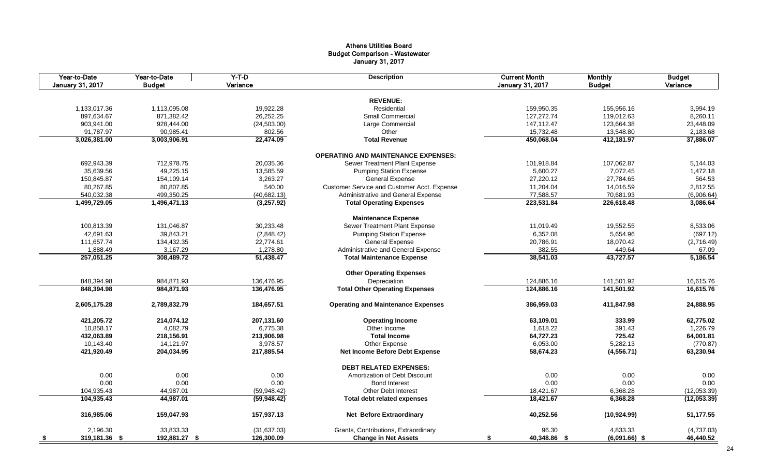#### Athens Utilities Board Budget Comparison - Wastewater January 31, 2017

| Year-to-Date<br><b>January 31, 2017</b> | Year-to-Date<br><b>Budget</b> | $Y-T-D$<br>Variance | <b>Description</b>                          | <b>Current Month</b><br><b>January 31, 2017</b> | <b>Monthly</b><br><b>Budget</b> | <b>Budget</b><br>Variance |
|-----------------------------------------|-------------------------------|---------------------|---------------------------------------------|-------------------------------------------------|---------------------------------|---------------------------|
|                                         |                               |                     |                                             |                                                 |                                 |                           |
|                                         |                               |                     | <b>REVENUE:</b>                             |                                                 |                                 |                           |
| 1,133,017.36                            | 1,113,095.08                  | 19,922.28           | Residential                                 | 159,950.35                                      | 155,956.16                      | 3,994.19                  |
| 897,634.67                              | 871,382.42                    | 26,252.25           | <b>Small Commercial</b>                     | 127,272.74                                      | 119,012.63                      | 8,260.11                  |
| 903,941.00                              | 928,444.00                    | (24, 503.00)        | Large Commercial                            | 147,112.47                                      | 123,664.38                      | 23,448.09                 |
| 91,787.97                               | 90,985.41                     | 802.56              | Other                                       | 15,732.48                                       | 13,548.80                       | 2,183.68                  |
| 3,026,381.00                            | 3,003,906.91                  | 22,474.09           | <b>Total Revenue</b>                        | 450,068.04                                      | 412,181.97                      | 37,886.07                 |
|                                         |                               |                     | <b>OPERATING AND MAINTENANCE EXPENSES:</b>  |                                                 |                                 |                           |
| 692,943.39                              | 712,978.75                    | 20,035.36           | Sewer Treatment Plant Expense               | 101,918.84                                      | 107,062.87                      | 5,144.03                  |
| 35,639.56                               | 49,225.15                     | 13,585.59           | <b>Pumping Station Expense</b>              | 5,600.27                                        | 7,072.45                        | 1,472.18                  |
| 150,845.87                              | 154,109.14                    | 3,263.27            | General Expense                             | 27,220.12                                       | 27,784.65                       | 564.53                    |
| 80,267.85                               | 80,807.85                     | 540.00              | Customer Service and Customer Acct. Expense | 11,204.04                                       | 14,016.59                       | 2,812.55                  |
| 540,032.38                              | 499,350.25                    | (40, 682.13)        | Administrative and General Expense          | 77,588.57                                       | 70,681.93                       | (6,906.64)                |
| 1,499,729.05                            | 1,496,471.13                  | (3,257.92)          | <b>Total Operating Expenses</b>             | 223,531.84                                      | 226,618.48                      | 3,086.64                  |
|                                         |                               |                     | <b>Maintenance Expense</b>                  |                                                 |                                 |                           |
| 100,813.39                              | 131,046.87                    | 30,233.48           | Sewer Treatment Plant Expense               | 11,019.49                                       | 19,552.55                       | 8,533.06                  |
| 42,691.63                               | 39,843.21                     | (2,848.42)          | <b>Pumping Station Expense</b>              | 6,352.08                                        | 5,654.96                        | (697.12)                  |
| 111,657.74                              | 134,432.35                    | 22,774.61           | <b>General Expense</b>                      | 20,786.91                                       | 18,070.42                       | (2,716.49)                |
|                                         |                               |                     |                                             |                                                 |                                 |                           |
| 1,888.49                                | 3,167.29                      | 1,278.80            | Administrative and General Expense          | 382.55                                          | 449.64                          | 67.09                     |
| 257,051.25                              | 308,489.72                    | 51,438.47           | <b>Total Maintenance Expense</b>            | 38,541.03                                       | 43,727.57                       | 5,186.54                  |
|                                         |                               |                     | <b>Other Operating Expenses</b>             |                                                 |                                 |                           |
| 848,394.98                              | 984,871.93                    | 136,476.95          | Depreciation                                | 124,886.16                                      | 141,501.92                      | 16,615.76                 |
| 848,394.98                              | 984,871.93                    | 136,476.95          | <b>Total Other Operating Expenses</b>       | 124,886.16                                      | 141,501.92                      | 16,615.76                 |
| 2,605,175.28                            | 2,789,832.79                  | 184,657.51          | <b>Operating and Maintenance Expenses</b>   | 386,959.03                                      | 411,847.98                      | 24,888.95                 |
| 421,205.72                              | 214,074.12                    | 207,131.60          | <b>Operating Income</b>                     | 63,109.01                                       | 333.99                          | 62,775.02                 |
| 10,858.17                               | 4,082.79                      | 6,775.38            | Other Income                                | 1,618.22                                        | 391.43                          | 1,226.79                  |
| 432,063.89                              | 218,156.91                    | 213,906.98          | <b>Total Income</b>                         | 64,727.23                                       | 725.42                          | 64,001.81                 |
| 10,143.40                               | 14,121.97                     | 3,978.57            | Other Expense                               | 6,053.00                                        | 5,282.13                        | (770.87)                  |
| 421,920.49                              | 204,034.95                    | 217,885.54          | Net Income Before Debt Expense              | 58,674.23                                       | (4, 556.71)                     | 63,230.94                 |
|                                         |                               |                     | <b>DEBT RELATED EXPENSES:</b>               |                                                 |                                 |                           |
| 0.00                                    | 0.00                          | 0.00                | Amortization of Debt Discount               | 0.00                                            | 0.00                            | 0.00                      |
| 0.00                                    | 0.00                          | 0.00                | <b>Bond Interest</b>                        | 0.00                                            | 0.00                            | 0.00                      |
| 104,935.43                              | 44,987.01                     | (59,948.42)         | <b>Other Debt Interest</b>                  | 18,421.67                                       | 6,368.28                        | (12,053.39)               |
| 104,935.43                              | 44,987.01                     | (59, 948.42)        | <b>Total debt related expenses</b>          | 18,421.67                                       | 6,368.28                        | (12,053.39)               |
|                                         |                               |                     |                                             |                                                 |                                 |                           |
| 316,985.06                              | 159,047.93                    | 157,937.13          | <b>Net Before Extraordinary</b>             | 40,252.56                                       | (10, 924.99)                    | 51,177.55                 |
| 2,196.30                                | 33,833.33                     | (31,637.03)         | Grants, Contributions, Extraordinary        | 96.30                                           | 4,833.33                        | (4,737.03)                |
| 319,181.36 \$<br>- \$                   | 192,881.27 \$                 | 126,300.09          | <b>Change in Net Assets</b>                 | 40,348.86 \$<br>\$                              | $(6,091.66)$ \$                 | 46,440.52                 |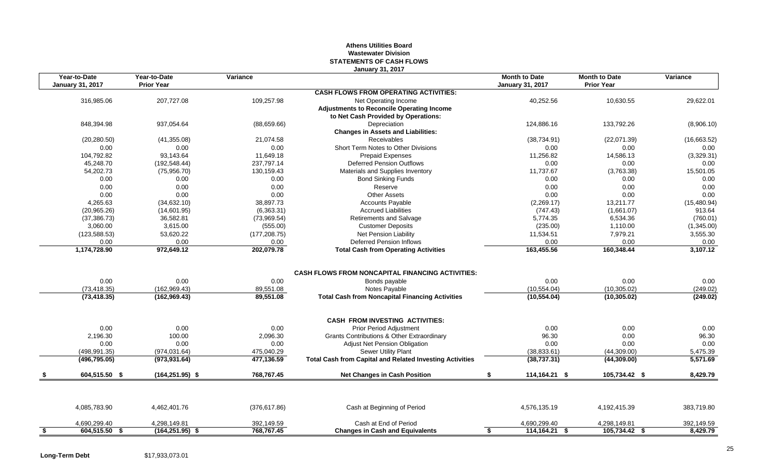## **Athens Utilities Board Wastewater Division STATEMENTS OF CASH FLOWS January 31, 2017**

|           | Year-to-Date<br><b>January 31, 2017</b> | Year-to-Date<br><b>Prior Year</b> | Variance      |                                                                 | <b>Month to Date</b><br><b>January 31, 2017</b> | <b>Month to Date</b><br><b>Prior Year</b> | Variance    |
|-----------|-----------------------------------------|-----------------------------------|---------------|-----------------------------------------------------------------|-------------------------------------------------|-------------------------------------------|-------------|
|           |                                         |                                   |               | <b>CASH FLOWS FROM OPERATING ACTIVITIES:</b>                    |                                                 |                                           |             |
|           | 316,985.06                              | 207,727.08                        | 109,257.98    | Net Operating Income                                            | 40,252.56                                       | 10,630.55                                 | 29,622.01   |
|           |                                         |                                   |               | <b>Adjustments to Reconcile Operating Income</b>                |                                                 |                                           |             |
|           |                                         |                                   |               | to Net Cash Provided by Operations:                             |                                                 |                                           |             |
|           | 848,394.98                              | 937,054.64                        | (88,659.66)   | Depreciation                                                    | 124.886.16                                      | 133,792.26                                | (8,906.10)  |
|           |                                         |                                   |               | <b>Changes in Assets and Liabilities:</b>                       |                                                 |                                           |             |
|           | (20, 280.50)                            | (41, 355.08)                      | 21,074.58     | <b>Receivables</b>                                              | (38, 734.91)                                    | (22,071.39)                               | (16,663.52) |
|           | 0.00                                    | 0.00                              | 0.00          | Short Term Notes to Other Divisions                             | 0.00                                            | 0.00                                      | 0.00        |
|           | 104,792.82                              | 93,143.64                         | 11,649.18     | <b>Prepaid Expenses</b>                                         | 11,256.82                                       | 14,586.13                                 | (3,329.31)  |
|           | 45,248.70                               | (192, 548.44)                     | 237,797.14    | <b>Deferred Pension Outflows</b>                                | 0.00                                            | 0.00                                      | 0.00        |
|           | 54,202.73                               | (75,956.70)                       | 130,159.43    | Materials and Supplies Inventory                                | 11,737.67                                       | (3,763.38)                                | 15,501.05   |
|           | 0.00                                    | 0.00                              | 0.00          | <b>Bond Sinking Funds</b>                                       | 0.00                                            | 0.00                                      | 0.00        |
|           | 0.00                                    | 0.00                              | 0.00          | Reserve                                                         | 0.00                                            | 0.00                                      | 0.00        |
|           | 0.00                                    | 0.00                              | 0.00          | <b>Other Assets</b>                                             | 0.00                                            | 0.00                                      | 0.00        |
|           | 4,265.63                                | (34, 632.10)                      | 38,897.73     | <b>Accounts Payable</b>                                         | (2,269.17)                                      | 13,211.77                                 | (15,480.94) |
|           | (20,965.26)                             | (14,601.95)                       | (6,363.31)    | <b>Accrued Liabilities</b>                                      | (747.43)                                        | (1,661.07)                                | 913.64      |
|           | (37, 386.73)                            | 36,582.81                         | (73,969.54)   | <b>Retirements and Salvage</b>                                  | 5.774.35                                        | 6,534.36                                  | (760.01)    |
|           | 3,060.00                                | 3,615.00                          | (555.00)      | <b>Customer Deposits</b>                                        | (235.00)                                        | 1,110.00                                  | (1,345.00)  |
|           | (123, 588.53)                           | 53,620.22                         | (177, 208.75) | Net Pension Liability                                           | 11,534.51                                       | 7,979.21                                  | 3,555.30    |
|           | 0.00                                    | 0.00                              | 0.00          | <b>Deferred Pension Inflows</b>                                 | 0.00                                            | 0.00                                      | 0.00        |
|           | 1,174,728.90                            | 972,649.12                        | 202,079.78    | <b>Total Cash from Operating Activities</b>                     | 163,455.56                                      | 160,348.44                                | 3,107.12    |
|           |                                         |                                   |               |                                                                 |                                                 |                                           |             |
|           |                                         |                                   |               | <b>CASH FLOWS FROM NONCAPITAL FINANCING ACTIVITIES:</b>         |                                                 |                                           |             |
|           | 0.00                                    | 0.00                              | 0.00          | Bonds payable                                                   | 0.00                                            | 0.00                                      | 0.00        |
|           | (73, 418.35)                            | (162, 969.43)                     | 89,551.08     | Notes Payable                                                   | (10, 554.04)                                    | (10, 305.02)                              | (249.02)    |
|           | (73, 418.35)                            | (162, 969.43)                     | 89,551.08     | <b>Total Cash from Noncapital Financing Activities</b>          | (10, 554.04)                                    | (10, 305.02)                              | (249.02)    |
|           |                                         |                                   |               | <b>CASH FROM INVESTING ACTIVITIES:</b>                          |                                                 |                                           |             |
|           | 0.00                                    | 0.00                              | 0.00          | Prior Period Adjustment                                         | 0.00                                            | 0.00                                      | 0.00        |
|           | 2,196.30                                | 100.00                            | 2,096.30      | Grants Contributions & Other Extraordinary                      | 96.30                                           | 0.00                                      | 96.30       |
|           | 0.00                                    | 0.00                              | 0.00          | Adjust Net Pension Obligation                                   | 0.00                                            | 0.00                                      | 0.00        |
|           | (498, 991.35)                           | (974, 031.64)                     | 475,040.29    | Sewer Utility Plant                                             | (38, 833.61)                                    | (44,309.00)                               | 5,475.39    |
|           | (496, 795.05)                           | (973, 931.64)                     | 477,136.59    | <b>Total Cash from Capital and Related Investing Activities</b> | (38, 737.31)                                    | (44, 309.00)                              | 5,571.69    |
|           | 604,515.50 \$                           | $(164, 251.95)$ \$                | 768,767.45    | <b>Net Changes in Cash Position</b>                             | 114,164.21 \$<br>\$                             | 105,734.42 \$                             | 8,429.79    |
|           |                                         |                                   |               |                                                                 |                                                 |                                           |             |
|           | 4,085,783.90                            | 4,462,401.76                      | (376, 617.86) | Cash at Beginning of Period                                     | 4,576,135.19                                    | 4,192,415.39                              | 383,719.80  |
|           | 4,690,299.40                            | 4,298,149.81                      | 392,149.59    | Cash at End of Period                                           | 4,690,299.40                                    | 4,298,149.81                              | 392,149.59  |
| <u>\$</u> | 604,515.50 \$                           | $(164, 251.95)$ \$                | 768,767.45    | <b>Changes in Cash and Equivalents</b>                          | $114,164.21$ \$<br>\$                           | 105,734.42 \$                             | 8.429.79    |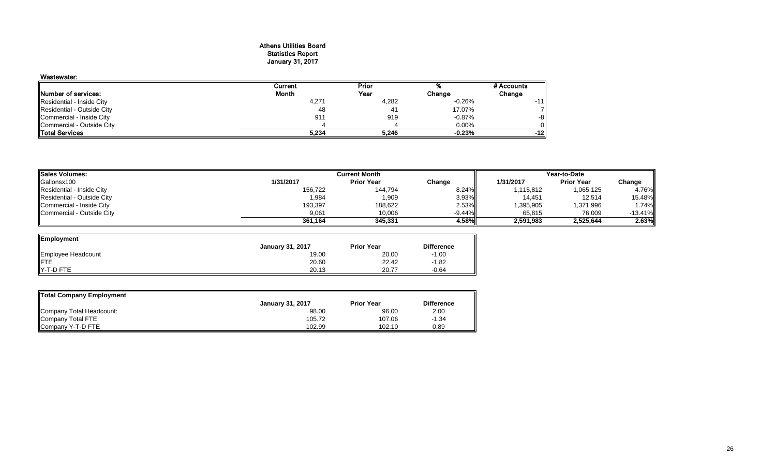#### Athens Utilities Board Statistics Report January 31, 2017

| Wastewater:                |         |       |          |            |
|----------------------------|---------|-------|----------|------------|
|                            | Current | Prior |          | # Accounts |
| Number of services:        | Month   | Year  | Change   | Change     |
| Residential - Inside City  | 4,271   | 4,282 | $-0.26%$ | -111       |
| Residential - Outside City | 48      | 41    | 17.07%   |            |
| Commercial - Inside City   | 911     | 919   | $-0.87%$ | -8         |
| Commercial - Outside City  |         |       | $0.00\%$ |            |
| <b>Total Services</b>      | 5,234   | 5.246 | $-0.23%$ | -121       |

| <b>Sales Volumes:</b><br><b>Current Month</b> |           |                   | Year-to-Date |           |                   |           |
|-----------------------------------------------|-----------|-------------------|--------------|-----------|-------------------|-----------|
| Gallonsx100                                   | 1/31/2017 | <b>Prior Year</b> | Change       | 1/31/2017 | <b>Prior Year</b> | Change    |
| Residential - Inside City                     | 156,722   | 144,794           | 8.24%        | 1,115,812 | 1,065,125         | 4.76%     |
| Residential - Outside City                    | 984,      | 1,909             | 3.93%        | 14,451    | 12,514            | 15.48%    |
| Commercial - Inside City                      | 193,397   | 188,622           | 2.53%        | 1,395,905 | 1,371,996         | 1.74%     |
| Commercial - Outside City                     | 9,061     | 10,006            | $-9.44%$     | 65,815    | 76,009            | $-13.41%$ |
|                                               | 361,164   | 345.331           | 4.58%        | 2.591.983 | 2,525,644         | 2.63%     |

 $\overline{\phantom{0}}$ 

| Employment         |                         |                   |                   |
|--------------------|-------------------------|-------------------|-------------------|
|                    | <b>January 31, 2017</b> | <b>Prior Year</b> | <b>Difference</b> |
| Employee Headcount | 19.00                   | 20.00             | $-1.00$           |
| IFTE               | 20.60                   | 22.42             | $-1.82$           |
| Y-T-D FTE          | 20.13                   | 20.77             | $-0.64$           |

| <b>Total Company Employment</b> |                         |                   |                   |
|---------------------------------|-------------------------|-------------------|-------------------|
|                                 | <b>January 31, 2017</b> | <b>Prior Year</b> | <b>Difference</b> |
| Company Total Headcount:        | 98.00                   | 96.00             | 2.00              |
| Company Total FTE               | 105.72                  | 107.06            | $-1.34$           |
| Company Y-T-D FTE               | 102.99                  | 102.10            | 0.89              |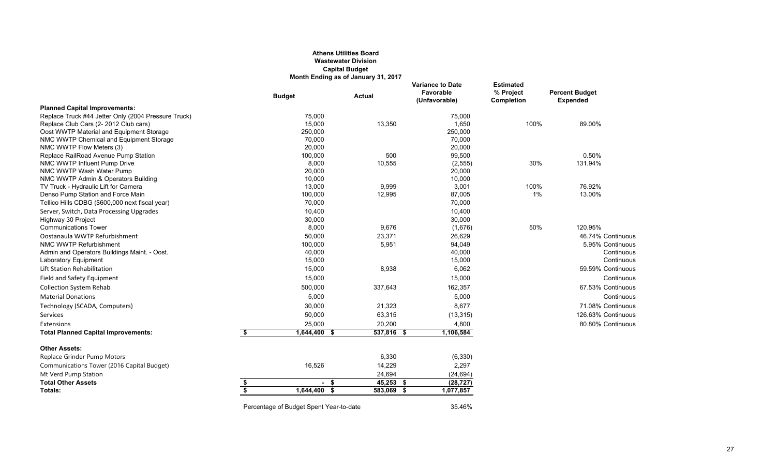## **Athens Utilities Board Wastewater Division Capital Budget Month Ending as of January 31, 2017**

|                                                     |                         | <b>Budget</b>                           | <b>Actual</b> | <b>Variance to Date</b><br>Favorable<br>(Unfavorable) | <b>Estimated</b><br>% Project<br><b>Completion</b> | <b>Percent Budget</b><br><b>Expended</b> |
|-----------------------------------------------------|-------------------------|-----------------------------------------|---------------|-------------------------------------------------------|----------------------------------------------------|------------------------------------------|
| <b>Planned Capital Improvements:</b>                |                         |                                         |               |                                                       |                                                    |                                          |
| Replace Truck #44 Jetter Only (2004 Pressure Truck) |                         | 75,000                                  |               | 75,000                                                |                                                    |                                          |
| Replace Club Cars (2-2012 Club cars)                |                         | 15,000                                  | 13,350        | 1,650                                                 | 100%                                               | 89.00%                                   |
| Oost WWTP Material and Equipment Storage            |                         | 250,000                                 |               | 250,000                                               |                                                    |                                          |
| NMC WWTP Chemical and Equipment Storage             |                         | 70,000                                  |               | 70,000                                                |                                                    |                                          |
| NMC WWTP Flow Meters (3)                            |                         | 20,000                                  |               | 20,000                                                |                                                    |                                          |
| Replace RailRoad Avenue Pump Station                |                         | 100,000                                 | 500           | 99,500                                                |                                                    | 0.50%                                    |
| NMC WWTP Influent Pump Drive                        |                         | 8,000                                   | 10,555        | (2, 555)                                              | 30%                                                | 131.94%                                  |
| NMC WWTP Wash Water Pump                            |                         | 20,000                                  |               | 20,000                                                |                                                    |                                          |
| NMC WWTP Admin & Operators Building                 |                         | 10,000                                  |               | 10,000                                                |                                                    |                                          |
| TV Truck - Hydraulic Lift for Camera                |                         | 13,000                                  | 9,999         | 3,001                                                 | 100%                                               | 76.92%                                   |
| Denso Pump Station and Force Main                   |                         | 100,000                                 | 12,995        | 87,005                                                | 1%                                                 | 13.00%                                   |
| Tellico Hills CDBG (\$600,000 next fiscal year)     |                         | 70,000                                  |               | 70,000                                                |                                                    |                                          |
| Server, Switch, Data Processing Upgrades            |                         | 10,400                                  |               | 10,400                                                |                                                    |                                          |
| Highway 30 Project                                  |                         | 30,000                                  |               | 30,000                                                |                                                    |                                          |
| <b>Communications Tower</b>                         |                         | 8,000                                   | 9,676         | (1,676)                                               | 50%                                                | 120.95%                                  |
| Oostanaula WWTP Refurbishment                       |                         | 50,000                                  | 23,371        | 26,629                                                |                                                    | 46.74% Continuous                        |
| NMC WWTP Refurbishment                              |                         | 100,000                                 | 5,951         | 94,049                                                |                                                    | 5.95% Continuous                         |
| Admin and Operators Buildings Maint. - Oost.        |                         | 40,000                                  |               | 40,000                                                |                                                    | Continuous                               |
| <b>Laboratory Equipment</b>                         |                         | 15,000                                  |               | 15,000                                                |                                                    | Continuous                               |
| <b>Lift Station Rehabilitation</b>                  |                         | 15,000                                  | 8,938         | 6,062                                                 |                                                    | 59.59% Continuous                        |
| Field and Safety Equipment                          |                         | 15,000                                  |               | 15,000                                                |                                                    | Continuous                               |
| <b>Collection System Rehab</b>                      |                         | 500,000                                 | 337,643       | 162,357                                               |                                                    | 67.53% Continuous                        |
| <b>Material Donations</b>                           |                         | 5,000                                   |               | 5,000                                                 |                                                    | Continuous                               |
| Technology (SCADA, Computers)                       |                         | 30,000                                  | 21,323        | 8,677                                                 |                                                    | 71.08% Continuous                        |
| Services                                            |                         | 50,000                                  | 63,315        | (13, 315)                                             |                                                    | 126.63% Continuous                       |
| <b>Extensions</b>                                   |                         | 25,000                                  | 20,200        | 4,800                                                 |                                                    | 80.80% Continuous                        |
| <b>Total Planned Capital Improvements:</b>          | \$                      | 1,644,400 \$                            | 537,816 \$    | 1,106,584                                             |                                                    |                                          |
| <b>Other Assets:</b>                                |                         |                                         |               |                                                       |                                                    |                                          |
| Replace Grinder Pump Motors                         |                         |                                         | 6,330         | (6, 330)                                              |                                                    |                                          |
| Communications Tower (2016 Capital Budget)          |                         | 16,526                                  | 14,229        | 2,297                                                 |                                                    |                                          |
| Mt Verd Pump Station                                |                         |                                         | 24,694        | (24, 694)                                             |                                                    |                                          |
| <b>Total Other Assets</b>                           | \$                      | $-5$                                    | 45,253        | (28, 727)<br>- \$                                     |                                                    |                                          |
| Totals:                                             | $\overline{\mathbf{s}}$ | 1,644,400 \$                            | 583,069 \$    | 1,077,857                                             |                                                    |                                          |
|                                                     |                         |                                         |               |                                                       |                                                    |                                          |
|                                                     |                         | Percentage of Budget Spent Year-to-date |               | 35.46%                                                |                                                    |                                          |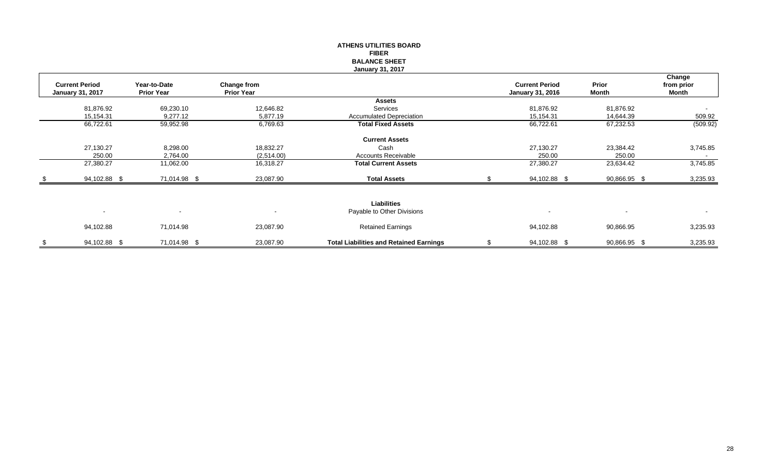|                                                  |                                   |                                         | <b>FIBER</b><br><b>BALANCE SHEET</b><br><b>January 31, 2017</b> |                                                  |                       |                               |
|--------------------------------------------------|-----------------------------------|-----------------------------------------|-----------------------------------------------------------------|--------------------------------------------------|-----------------------|-------------------------------|
| <b>Current Period</b><br><b>January 31, 2017</b> | Year-to-Date<br><b>Prior Year</b> | <b>Change from</b><br><b>Prior Year</b> |                                                                 | <b>Current Period</b><br><b>January 31, 2016</b> | Prior<br><b>Month</b> | Change<br>from prior<br>Month |
|                                                  |                                   |                                         | <b>Assets</b>                                                   |                                                  |                       |                               |
| 81,876.92                                        | 69,230.10                         | 12,646.82                               | Services                                                        | 81,876.92                                        | 81,876.92             |                               |
| 15,154.31                                        | 9,277.12                          | 5,877.19                                | <b>Accumulated Depreciation</b>                                 | 15,154.31                                        | 14,644.39             | 509.92                        |
| 66,722.61                                        | 59,952.98                         | 6,769.63                                | <b>Total Fixed Assets</b>                                       | 66,722.61                                        | 67,232.53             | (509.92)                      |
|                                                  |                                   |                                         | <b>Current Assets</b>                                           |                                                  |                       |                               |
| 27,130.27                                        | 8,298.00                          | 18,832.27                               | Cash                                                            | 27,130.27                                        | 23,384.42             | 3,745.85                      |
| 250.00                                           | 2,764.00                          | (2,514.00)                              | <b>Accounts Receivable</b>                                      | 250.00                                           | 250.00                | $\sim$                        |
| 27,380.27                                        | 11,062.00                         | 16,318.27                               | <b>Total Current Assets</b>                                     | 27,380.27                                        | 23,634.42             | 3,745.85                      |
| 94,102.88 \$                                     | 71,014.98 \$                      | 23,087.90                               | <b>Total Assets</b>                                             | 94,102.88 \$                                     | 90,866.95 \$          | 3,235.93                      |
|                                                  |                                   |                                         |                                                                 |                                                  |                       |                               |
|                                                  |                                   |                                         | <b>Liabilities</b>                                              |                                                  |                       |                               |
| $\overline{\phantom{a}}$                         | $\sim$                            | $\blacksquare$                          | Payable to Other Divisions                                      | $\overline{\phantom{a}}$                         | $\sim$                | $\blacksquare$                |
| 94,102.88                                        | 71,014.98                         | 23,087.90                               | <b>Retained Earnings</b>                                        | 94,102.88                                        | 90,866.95             | 3,235.93                      |
| \$<br>94,102.88 \$                               | 71,014.98 \$                      | 23,087.90                               | <b>Total Liabilities and Retained Earnings</b>                  | \$<br>94,102.88 \$                               | 90,866.95 \$          | 3,235.93                      |

**ATHENS UTILITIES BOARD**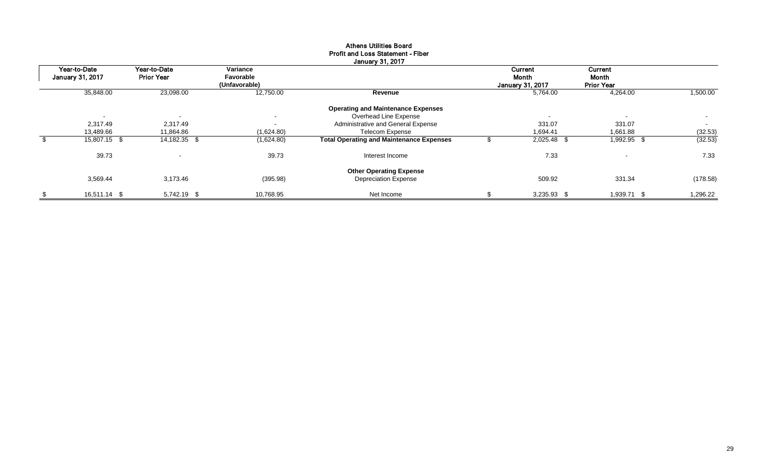|                         |                          |                            | <b>January 31, 2017</b>                         |                                  |                            |      |                          |
|-------------------------|--------------------------|----------------------------|-------------------------------------------------|----------------------------------|----------------------------|------|--------------------------|
| Year-to-Date            | Year-to-Date             | Variance                   |                                                 | Current                          | Current                    |      |                          |
| <b>January 31, 2017</b> | <b>Prior Year</b>        | Favorable<br>(Unfavorable) |                                                 | Month<br><b>January 31, 2017</b> | Month<br><b>Prior Year</b> |      |                          |
| 35,848.00               | 23,098.00                | 12,750.00                  | Revenue                                         | 5,764.00                         | 4,264.00                   |      | 1,500.00                 |
|                         |                          |                            | <b>Operating and Maintenance Expenses</b>       |                                  |                            |      |                          |
| $\blacksquare$          | $\overline{\phantom{a}}$ | $\sim$                     | Overhead Line Expense                           | $\blacksquare$                   | $\sim$                     |      | $\overline{\phantom{0}}$ |
| 2,317.49                | 2,317.49                 | $\sim$                     | Administrative and General Expense              | 331.07                           | 331.07                     |      | $\sim$                   |
| 13,489.66               | 11,864.86                | (1,624.80)                 | <b>Telecom Expense</b>                          | 1,694.41                         | 1,661.88                   |      | (32.53)                  |
| 15,807.15 \$            | 14,182.35 \$             | (1,624.80)                 | <b>Total Operating and Maintenance Expenses</b> | 2,025.48 \$                      | 1,992.95 \$                |      | (32.53)                  |
| 39.73                   |                          | 39.73                      | Interest Income                                 | 7.33                             | $\sim$                     |      | 7.33                     |
|                         |                          |                            | <b>Other Operating Expense</b>                  |                                  |                            |      |                          |
| 3,569.44                | 3,173.46                 | (395.98)                   | <b>Depreciation Expense</b>                     | 509.92                           | 331.34                     |      | (178.58)                 |
| \$<br>16,511.14 \$      | 5,742.19 \$              | 10,768.95                  | Net Income                                      | $3,235.93$ \$                    | 1,939.71                   | - \$ | 1,296.22                 |

## Athens Utilities Board Profit and Loss Statement - Fiber